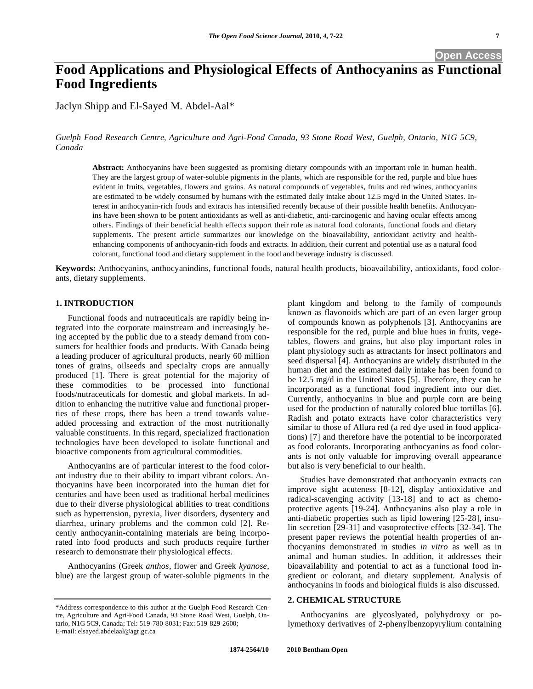# **Food Applications and Physiological Effects of Anthocyanins as Functional Food Ingredients**

Jaclyn Shipp and El-Sayed M. Abdel-Aal\*

*Guelph Food Research Centre, Agriculture and Agri-Food Canada, 93 Stone Road West, Guelph, Ontario, N1G 5C9, Canada* 

**Abstract:** Anthocyanins have been suggested as promising dietary compounds with an important role in human health. They are the largest group of water-soluble pigments in the plants, which are responsible for the red, purple and blue hues evident in fruits, vegetables, flowers and grains. As natural compounds of vegetables, fruits and red wines, anthocyanins are estimated to be widely consumed by humans with the estimated daily intake about 12.5 mg/d in the United States. Interest in anthocyanin-rich foods and extracts has intensified recently because of their possible health benefits. Anthocyanins have been shown to be potent antioxidants as well as anti-diabetic, anti-carcinogenic and having ocular effects among others. Findings of their beneficial health effects support their role as natural food colorants, functional foods and dietary supplements. The present article summarizes our knowledge on the bioavailability, antioxidant activity and healthenhancing components of anthocyanin-rich foods and extracts. In addition, their current and potential use as a natural food colorant, functional food and dietary supplement in the food and beverage industry is discussed.

**Keywords:** Anthocyanins, anthocyanindins, functional foods, natural health products, bioavailability, antioxidants, food colorants, dietary supplements.

#### **1. INTRODUCTION**

Functional foods and nutraceuticals are rapidly being integrated into the corporate mainstream and increasingly being accepted by the public due to a steady demand from consumers for healthier foods and products. With Canada being a leading producer of agricultural products, nearly 60 million tones of grains, oilseeds and specialty crops are annually produced [1]. There is great potential for the majority of these commodities to be processed into functional foods/nutraceuticals for domestic and global markets. In addition to enhancing the nutritive value and functional properties of these crops, there has been a trend towards valueadded processing and extraction of the most nutritionally valuable constituents. In this regard, specialized fractionation technologies have been developed to isolate functional and bioactive components from agricultural commodities.

Anthocyanins are of particular interest to the food colorant industry due to their ability to impart vibrant colors. Anthocyanins have been incorporated into the human diet for centuries and have been used as traditional herbal medicines due to their diverse physiological abilities to treat conditions such as hypertension, pyrexia, liver disorders, dysentery and diarrhea, urinary problems and the common cold [2]. Recently anthocyanin-containing materials are being incorporated into food products and such products require further research to demonstrate their physiological effects.

Anthocyanins (Greek *anthos*, flower and Greek *kyanose*, blue) are the largest group of water-soluble pigments in the plant kingdom and belong to the family of compounds known as flavonoids which are part of an even larger group of compounds known as polyphenols [3]. Anthocyanins are responsible for the red, purple and blue hues in fruits, vegetables, flowers and grains, but also play important roles in plant physiology such as attractants for insect pollinators and seed dispersal [4]. Anthocyanins are widely distributed in the human diet and the estimated daily intake has been found to be 12.5 mg/d in the United States [5]. Therefore, they can be incorporated as a functional food ingredient into our diet. Currently, anthocyanins in blue and purple corn are being used for the production of naturally colored blue tortillas [6]. Radish and potato extracts have color characteristics very similar to those of Allura red (a red dye used in food applications) [7] and therefore have the potential to be incorporated as food colorants. Incorporating anthocyanins as food colorants is not only valuable for improving overall appearance but also is very beneficial to our health.

Studies have demonstrated that anthocyanin extracts can improve sight acuteness [8-12], display antioxidative and radical-scavenging activity [13-18] and to act as chemoprotective agents [19-24]. Anthocyanins also play a role in anti-diabetic properties such as lipid lowering [25-28], insulin secretion [29-31] and vasoprotective effects [32-34]. The present paper reviews the potential health properties of anthocyanins demonstrated in studies *in vitro* as well as in animal and human studies. In addition, it addresses their bioavailability and potential to act as a functional food ingredient or colorant, and dietary supplement. Analysis of anthocyanins in foods and biological fluids is also discussed.

# **2. CHEMICAL STRUCTURE**

Anthocyanins are glycoslyated, polyhydroxy or polymethoxy derivatives of 2-phenylbenzopyrylium containing

<sup>\*</sup>Address correspondence to this author at the Guelph Food Research Centre, Agriculture and Agri-Food Canada, 93 Stone Road West, Guelph, Ontario, N1G 5C9, Canada; Tel: 519-780-8031; Fax: 519-829-2600; E-mail: elsayed.abdelaal@agr.gc.ca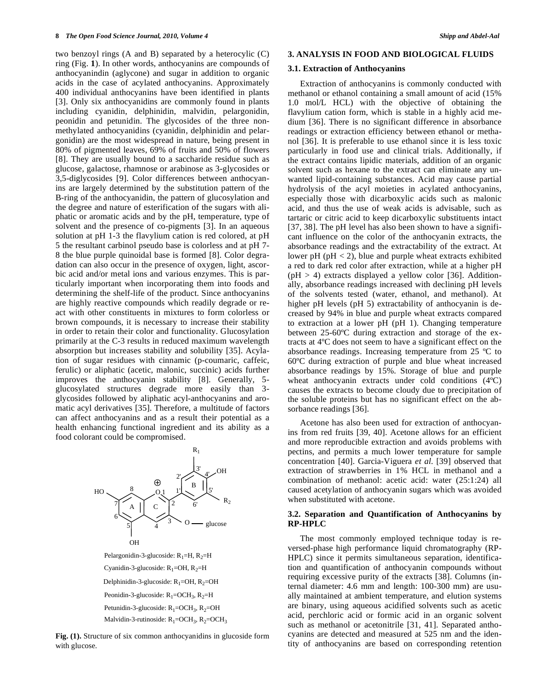two benzoyl rings (A and B) separated by a heterocylic (C) ring (Fig. **1**). In other words, anthocyanins are compounds of anthocyanindin (aglycone) and sugar in addition to organic acids in the case of acylated anthocyanins. Approximately 400 individual anthocyanins have been identified in plants [3]. Only six anthocyanidins are commonly found in plants including cyanidin, delphinidin, malvidin, pelargonidin, peonidin and petunidin. The glycosides of the three nonmethylated anthocyanidins (cyanidin, delphinidin and pelargonidin) are the most widespread in nature, being present in 80% of pigmented leaves, 69% of fruits and 50% of flowers [8]. They are usually bound to a saccharide residue such as glucose, galactose, rhamnose or arabinose as 3-glycosides or 3,5-diglycosides [9]. Color differences between anthocyanins are largely determined by the substitution pattern of the B-ring of the anthocyanidin, the pattern of glucosylation and the degree and nature of esterification of the sugars with aliphatic or aromatic acids and by the pH, temperature, type of solvent and the presence of co-pigments [3]. In an aqueous solution at pH 1-3 the flavylium cation is red colored, at pH 5 the resultant carbinol pseudo base is colorless and at pH 7- 8 the blue purple quinoidal base is formed [8]. Color degradation can also occur in the presence of oxygen, light, ascorbic acid and/or metal ions and various enzymes. This is particularly important when incorporating them into foods and determining the shelf-life of the product. Since anthocyanins are highly reactive compounds which readily degrade or react with other constituents in mixtures to form colorless or brown compounds, it is necessary to increase their stability in order to retain their color and functionality. Glucosylation primarily at the C-3 results in reduced maximum wavelength absorption but increases stability and solubility [35]. Acylation of sugar residues with cinnamic (p-coumaric, caffeic, ferulic) or aliphatic (acetic, malonic, succinic) acids further improves the anthocyanin stability [8]. Generally, 5 glucosylated structures degrade more easily than 3 glycosides followed by aliphatic acyl-anthocyanins and aromatic acyl derivatives [35]. Therefore, a multitude of factors can affect anthocyanins and as a result their potential as a health enhancing functional ingredient and its ability as a food colorant could be compromised.



Pelargonidin-3-glucoside:  $R_1=H$ ,  $R_2=H$ Petunidin-3-glucoside:  $R_1$ =OCH<sub>3</sub>,  $R_2$ =OH Peonidin-3-glucoside:  $R_1 = OCH_3$ ,  $R_2 = H$ Malvidin-3-rutinoside:  $R_1 = OCH_3$ ,  $R_2 = OCH_3$ Delphinidin-3-glucoside:  $R_1 = OH$ ,  $R_2 = OH$ Cyanidin-3-glucoside:  $R_1$ =OH,  $R_2$ =H

**Fig. (1).** Structure of six common anthocyanidins in glucoside form with glucose.

## **3. ANALYSIS IN FOOD AND BIOLOGICAL FLUIDS**

#### **3.1. Extraction of Anthocyanins**

Extraction of anthocyanins is commonly conducted with methanol or ethanol containing a small amount of acid (15% 1.0 mol/L HCL) with the objective of obtaining the flavylium cation form, which is stable in a highly acid medium [36]. There is no significant difference in absorbance readings or extraction efficiency between ethanol or methanol [36]. It is preferable to use ethanol since it is less toxic particularly in food use and clinical trials. Additionally, if the extract contains lipidic materials, addition of an organic solvent such as hexane to the extract can eliminate any unwanted lipid-containing substances. Acid may cause partial hydrolysis of the acyl moieties in acylated anthocyanins, especially those with dicarboxylic acids such as malonic acid, and thus the use of weak acids is advisable, such as tartaric or citric acid to keep dicarboxylic substituents intact [37, 38]. The pH level has also been shown to have a significant influence on the color of the anthocyanin extracts, the absorbance readings and the extractability of the extract. At lower pH ( $pH < 2$ ), blue and purple wheat extracts exhibited a red to dark red color after extraction, while at a higher pH  $(pH > 4)$  extracts displayed a yellow color [36]. Additionally, absorbance readings increased with declining pH levels of the solvents tested (water, ethanol, and methanol). At higher pH levels (pH 5) extractability of anthocyanin is decreased by 94% in blue and purple wheat extracts compared to extraction at a lower pH (pH 1). Changing temperature between 25-60ºC during extraction and storage of the extracts at 4ºC does not seem to have a significant effect on the absorbance readings. Increasing temperature from 25 ºC to 60ºC during extraction of purple and blue wheat increased absorbance readings by 15%. Storage of blue and purple wheat anthocyanin extracts under cold conditions (4ºC) causes the extracts to become cloudy due to precipitation of the soluble proteins but has no significant effect on the absorbance readings [36].

Acetone has also been used for extraction of anthocyanins from red fruits [39, 40]. Acetone allows for an efficient and more reproducible extraction and avoids problems with pectins, and permits a much lower temperature for sample concentration [40]. Garcia-Viguera *et al*. [39] observed that extraction of strawberries in 1% HCL in methanol and a combination of methanol: acetic acid: water (25:1:24) all caused acetylation of anthocyanin sugars which was avoided when substituted with acetone.

## **3.2. Separation and Quantification of Anthocyanins by RP-HPLC**

The most commonly employed technique today is reversed-phase high performance liquid chromatography (RP-HPLC) since it permits simultaneous separation, identification and quantification of anthocyanin compounds without requiring excessive purity of the extracts [38]. Columns (internal diameter: 4.6 mm and length: 100-300 mm) are usually maintained at ambient temperature, and elution systems are binary, using aqueous acidified solvents such as acetic acid, perchloric acid or formic acid in an organic solvent such as methanol or acetonitrile [31, 41]. Separated anthocyanins are detected and measured at 525 nm and the identity of anthocyanins are based on corresponding retention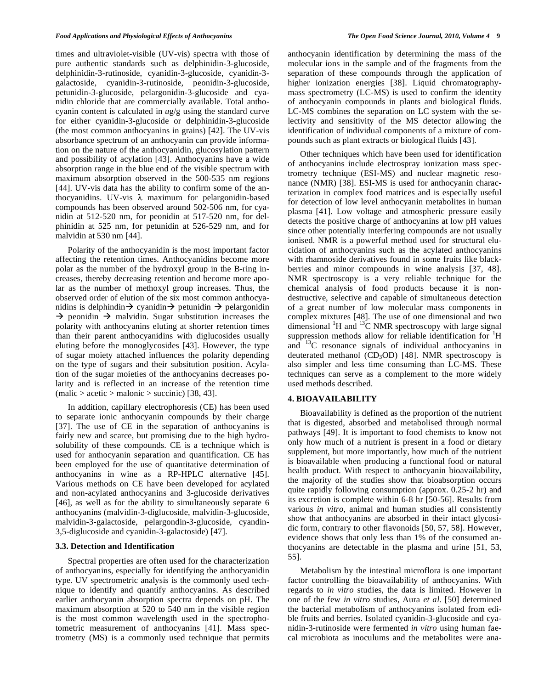times and ultraviolet-visible (UV-vis) spectra with those of pure authentic standards such as delphinidin-3-glucoside, delphinidin-3-rutinoside, cyanidin-3-glucoside, cyanidin-3 galactoside, cyanidin-3-rutinoside, peonidin-3-glucoside, petunidin-3-glucoside, pelargonidin-3-glucoside and cyanidin chloride that are commercially available. Total anthocyanin content is calculated in *u*g/g using the standard curve for either cyanidin-3-glucoside or delphinidin-3-glucoside (the most common anthocyanins in grains) [42]. The UV-vis absorbance spectrum of an anthocyanin can provide information on the nature of the anthocyanidin, glucosylation pattern and possibility of acylation [43]. Anthocyanins have a wide absorption range in the blue end of the visible spectrum with maximum absorption observed in the 500-535 nm regions [44]. UV-vis data has the ability to confirm some of the anthocyanidins. UV-vis  $\lambda$  maximum for pelargonidin-based compounds has been observed around 502-506 nm, for cyanidin at 512-520 nm, for peonidin at 517-520 nm, for delphinidin at 525 nm, for petunidin at 526-529 nm, and for malvidin at 530 nm [44].

Polarity of the anthocyanidin is the most important factor affecting the retention times. Anthocyanidins become more polar as the number of the hydroxyl group in the B-ring increases, thereby decreasing retention and become more apolar as the number of methoxyl group increases. Thus, the observed order of elution of the six most common anthocyanidins is delphindin $\rightarrow$  cyanidin $\rightarrow$  petunidin  $\rightarrow$  pelargonidin  $\rightarrow$  peonidin  $\rightarrow$  malvidin. Sugar substitution increases the polarity with anthocyanins eluting at shorter retention times than their parent anthocyanidins with diglucosides usually eluting before the monoglycosides [43]. However, the type of sugar moiety attached influences the polarity depending on the type of sugars and their subsitution position. Acylation of the sugar moieties of the anthocyanins decreases polarity and is reflected in an increase of the retention time  $(malic > acetic > malonic > succinic)$  [38, 43].

In addition, capillary electrophoresis (CE) has been used to separate ionic anthocyanin compounds by their charge [37]. The use of CE in the separation of anthocyanins is fairly new and scarce, but promising due to the high hydrosolubility of these compounds. CE is a technique which is used for anthocyanin separation and quantification. CE has been employed for the use of quantitative determination of anthocyanins in wine as a RP-HPLC alternative [45]. Various methods on CE have been developed for acylated and non-acylated anthocyanins and 3-glucoside derivatives [46], as well as for the ability to simultaneously separate 6 anthocyanins (malvidin-3-diglucoside, malvidin-3-glucoside, malvidin-3-galactoside, pelargondin-3-glucoside, cyandin-3,5-diglucoside and cyanidin-3-galactoside) [47].

## **3.3. Detection and Identification**

Spectral properties are often used for the characterization of anthocyanins, especially for identifying the anthocyanidin type. UV spectrometric analysis is the commonly used technique to identify and quantify anthocyanins. As described earlier anthocyanin absorption spectra depends on pH. The maximum absorption at 520 to 540 nm in the visible region is the most common wavelength used in the spectrophotometric measurement of anthocyanins [41]. Mass spectrometry (MS) is a commonly used technique that permits anthocyanin identification by determining the mass of the molecular ions in the sample and of the fragments from the separation of these compounds through the application of higher ionization energies [38]. Liquid chromatographymass spectrometry (LC-MS) is used to confirm the identity of anthocyanin compounds in plants and biological fluids. LC-MS combines the separation on LC system with the selectivity and sensitivity of the MS detector allowing the identification of individual components of a mixture of compounds such as plant extracts or biological fluids [43].

Other techniques which have been used for identification of anthocyanins include electrospray ionization mass spectrometry technique (ESI-MS) and nuclear magnetic resonance (NMR) [38]. ESI-MS is used for anthocyanin characterization in complex food matrices and is especially useful for detection of low level anthocyanin metabolites in human plasma [41]. Low voltage and atmospheric pressure easily detects the positive charge of anthocyanins at low pH values since other potentially interfering compounds are not usually ionised. NMR is a powerful method used for structural elucidation of anthocyanins such as the acylated anthocyanins with rhamnoside derivatives found in some fruits like blackberries and minor compounds in wine analysis [37, 48]. NMR spectroscopy is a very reliable technique for the chemical analysis of food products because it is nondestructive, selective and capable of simultaneous detection of a great number of low molecular mass components in complex mixtures [48]. The use of one dimensional and two dimensional  ${}^{1}H$  and  ${}^{13}C$  NMR spectroscopy with large signal suppression methods allow for reliable identification for  ${}^{1}H$ and  ${}^{13}C$  resonance signals of individual anthocyanins in deuterated methanol ( $CD_3OD$ ) [48]. NMR spectroscopy is also simpler and less time consuming than LC-MS. These techniques can serve as a complement to the more widely used methods described.

#### **4. BIOAVAILABILITY**

Bioavailability is defined as the proportion of the nutrient that is digested, absorbed and metabolised through normal pathways [49]. It is important to food chemists to know not only how much of a nutrient is present in a food or dietary supplement, but more importantly, how much of the nutrient is bioavailable when producing a functional food or natural health product. With respect to anthocyanin bioavailability, the majority of the studies show that bioabsorption occurs quite rapidly following consumption (approx. 0.25-2 hr) and its excretion is complete within 6-8 hr [50-56]. Results from various *in vitro*, animal and human studies all consistently show that anthocyanins are absorbed in their intact glycosidic form, contrary to other flavonoids [50, 57, 58]. However, evidence shows that only less than 1% of the consumed anthocyanins are detectable in the plasma and urine [51, 53, 55].

Metabolism by the intestinal microflora is one important factor controlling the bioavailability of anthocyanins. With regards to *in vitro* studies, the data is limited. However in one of the few *in vitro* studies, Aura *et al.* [50] determined the bacterial metabolism of anthocyanins isolated from edible fruits and berries. Isolated cyanidin-3-glucoside and cyanidin-3-rutinoside were fermented *in vitro* using human faecal microbiota as inoculums and the metabolites were ana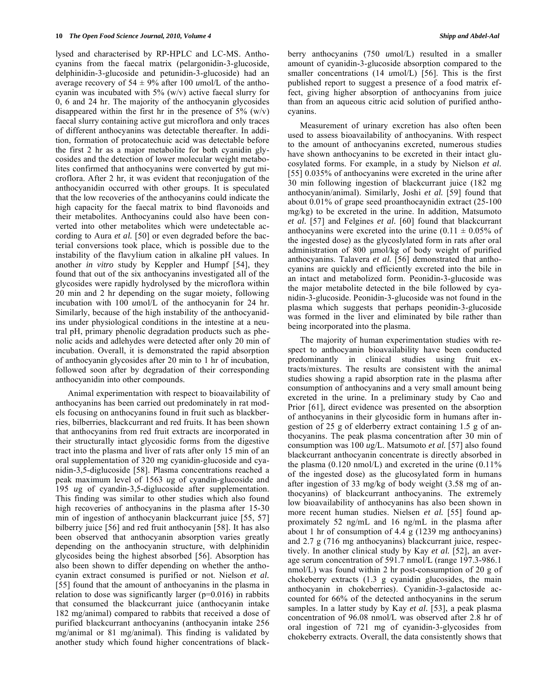lysed and characterised by RP-HPLC and LC-MS. Anthocyanins from the faecal matrix (pelargonidin-3-glucoside, delphinidin-3-glucoside and petunidin-3-glucoside) had an average recovery of  $54 \pm 9\%$  after 100 *u*mol/L of the anthocyanin was incubated with 5% (w/v) active faecal slurry for 0, 6 and 24 hr. The majority of the anthocyanin glycosides disappeared within the first hr in the presence of  $5\%$  (w/v) faecal slurry containing active gut microflora and only traces of different anthocyanins was detectable thereafter. In addition, formation of protocatechuic acid was detectable before the first 2 hr as a major metabolite for both cyanidin glycosides and the detection of lower molecular weight metabolites confirmed that anthocyanins were converted by gut microflora. After 2 hr, it was evident that reconjugation of the anthocyanidin occurred with other groups. It is speculated that the low recoveries of the anthocyanins could indicate the high capacity for the faecal matrix to bind flavonoids and their metabolites. Anthocyanins could also have been converted into other metabolites which were undetectable according to Aura *et al.* [50] or even degraded before the bacterial conversions took place, which is possible due to the instability of the flavylium cation in alkaline pH values. In another *in vitro* study by Keppler and Humpf [54], they found that out of the six anthocyanins investigated all of the glycosides were rapidly hydrolysed by the microflora within 20 min and 2 hr depending on the sugar moiety, following incubation with 100 *u*mol/L of the anthocyanin for 24 hr. Similarly, because of the high instability of the anthocyanidins under physiological conditions in the intestine at a neutral pH, primary phenolic degradation products such as phenolic acids and adlehydes were detected after only 20 min of incubation. Overall, it is demonstrated the rapid absorption of anthocyanin glycosides after 20 min to 1 hr of incubation, followed soon after by degradation of their corresponding anthocyanidin into other compounds.

Animal experimentation with respect to bioavailability of anthocyanins has been carried out predominately in rat models focusing on anthocyanins found in fruit such as blackberries, bilberries, blackcurrant and red fruits. It has been shown that anthocyanins from red fruit extracts are incorporated in their structurally intact glycosidic forms from the digestive tract into the plasma and liver of rats after only 15 min of an oral supplementation of 320 mg cyanidin-glucoside and cyanidin-3,5-diglucoside [58]. Plasma concentrations reached a peak maximum level of 1563 *u*g of cyandin-glucoside and 195 *u*g of cyandin-3,5-diglucoside after supplementation. This finding was similar to other studies which also found high recoveries of anthocyanins in the plasma after 15-30 min of ingestion of anthocyanin blackcurrant juice [55, 57] bilberry juice [56] and red fruit anthocyanin [58]. It has also been observed that anthocyanin absorption varies greatly depending on the anthocyanin structure, with delphinidin glycosides being the highest absorbed [56]. Absorption has also been shown to differ depending on whether the anthocyanin extract consumed is purified or not. Nielson *et al.* [55] found that the amount of anthocyanins in the plasma in relation to dose was significantly larger ( $p=0.016$ ) in rabbits that consumed the blackcurrant juice (anthocyanin intake 182 mg/animal) compared to rabbits that received a dose of purified blackcurrant anthocyanins (anthocyanin intake 256 mg/animal or 81 mg/animal). This finding is validated by another study which found higher concentrations of blackberry anthocyanins (750 *u*mol/L) resulted in a smaller amount of cyanidin-3-glucoside absorption compared to the smaller concentrations (14 *u*mol/L) [56]. This is the first published report to suggest a presence of a food matrix effect, giving higher absorption of anthocyanins from juice than from an aqueous citric acid solution of purified anthocyanins.

Measurement of urinary excretion has also often been used to assess bioavailability of anthocyanins. With respect to the amount of anthocyanins excreted, numerous studies have shown anthocyanins to be excreted in their intact glucosylated forms. For example, in a study by Nielson *et al.* [55] 0.035% of anthocyanins were excreted in the urine after 30 min following ingestion of blackcurrant juice (182 mg anthocyanin/animal). Similarly, Joshi *et al.* [59] found that about 0.01% of grape seed proanthocaynidin extract (25-100 mg/kg) to be excreted in the urine. In addition, Matsumoto *et al.* [57] and Felgines *et al.* [60] found that blackcurrant anthocyanins were excreted into the urine  $(0.11 \pm 0.05\% \text{ of }$ the ingested dose) as the glycoslylated form in rats after oral administration of 800 μmol/kg of body weight of purified anthocyanins. Talavera *et al.* [56] demonstrated that anthocyanins are quickly and efficiently excreted into the bile in an intact and metabolized form. Peonidin-3-glucoside was the major metabolite detected in the bile followed by cyanidin-3-glucoside. Peonidin-3-glucoside was not found in the plasma which suggests that perhaps peonidin-3-glucoside was formed in the liver and eliminated by bile rather than being incorporated into the plasma.

The majority of human experimentation studies with respect to anthocyanin bioavailability have been conducted predominantly in clinical studies using fruit extracts/mixtures. The results are consistent with the animal studies showing a rapid absorption rate in the plasma after consumption of anthocyanins and a very small amount being excreted in the urine. In a preliminary study by Cao and Prior [61], direct evidence was presented on the absorption of anthocyanins in their glycosidic form in humans after ingestion of 25 g of elderberry extract containing 1.5 g of anthocyanins. The peak plasma concentration after 30 min of consumption was 100 *u*g/L. Matsumoto *et al.* [57] also found blackcurrant anthocyanin concentrate is directly absorbed in the plasma  $(0.120 \text{ nmol/L})$  and excreted in the urine  $(0.11\%$ of the ingested dose) as the glucosylated form in humans after ingestion of 33 mg/kg of body weight (3.58 mg of anthocyanins) of blackcurrant anthocyanins. The extremely low bioavailability of anthocyanins has also been shown in more recent human studies. Nielsen *et al.* [55] found approximately 52 ng/mL and 16 ng/mL in the plasma after about 1 hr of consumption of 4.4 g (1239 mg anthocyanins) and 2.7 g (716 mg anthocyanins) blackcurrant juice, respectively. In another clinical study by Kay *et al.* [52], an average serum concentration of 591.7 nmol/L (range 197.3-986.1 nmol/L) was found within 2 hr post-consumption of 20 g of chokeberry extracts (1.3 g cyanidin glucosides, the main anthocyanin in chokeberries). Cyanidin-3-galactoside accounted for 66% of the detected anthocyanins in the serum samples. In a latter study by Kay *et al.* [53], a peak plasma concentration of 96.08 nmol/L was observed after 2.8 hr of oral ingestion of 721 mg of cyanidin-3-glycosides from chokeberry extracts. Overall, the data consistently shows that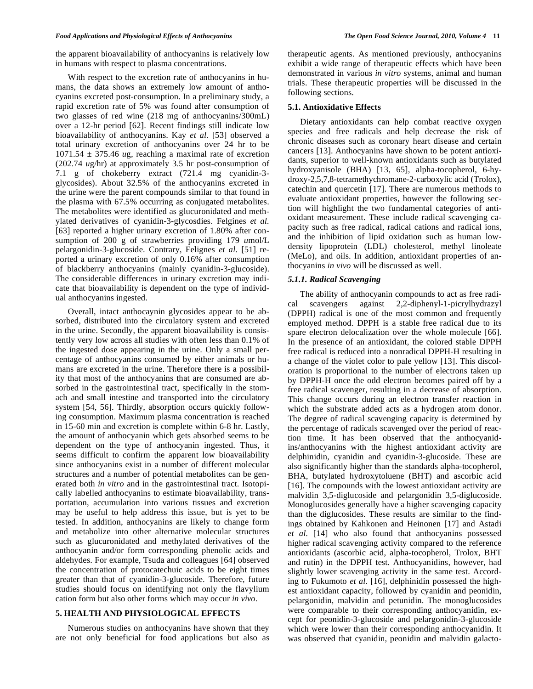the apparent bioavailability of anthocyanins is relatively low in humans with respect to plasma concentrations.

With respect to the excretion rate of anthocyanins in humans, the data shows an extremely low amount of anthocyanins excreted post-consumption. In a preliminary study, a rapid excretion rate of 5% was found after consumption of two glasses of red wine (218 mg of anthocyanins/300mL) over a 12-hr period [62]. Recent findings still indicate low bioavailability of anthocyanins. Kay *et al.* [53] observed a total urinary excretion of anthocyanins over 24 hr to be  $1071.54 \pm 375.46$  *ug*, reaching a maximal rate of excretion (202.74 *u*g/hr) at approximately 3.5 hr post-consumption of 7.1 g of chokeberry extract (721.4 mg cyanidin-3 glycosides). About 32.5% of the anthocyanins excreted in the urine were the parent compounds similar to that found in the plasma with 67.5% occurring as conjugated metabolites. The metabolites were identified as glucuronidated and methylated derivatives of cyanidin-3-glycosdies. Felgines *et al.* [63] reported a higher urinary excretion of 1.80% after consumption of 200 g of strawberries providing 179 *u*mol/L pelargonidin-3-glucoside. Contrary, Felignes *et al.* [51] reported a urinary excretion of only 0.16% after consumption of blackberry anthocyanins (mainly cyanidin-3-glucoside). The considerable differences in urinary excretion may indicate that bioavailability is dependent on the type of individual anthocyanins ingested.

Overall, intact anthocaynin glycosides appear to be absorbed, distributed into the circulatory system and excreted in the urine. Secondly, the apparent bioavailability is consistently very low across all studies with often less than 0.1% of the ingested dose appearing in the urine. Only a small percentage of anthocyanins consumed by either animals or humans are excreted in the urine. Therefore there is a possibility that most of the anthocyanins that are consumed are absorbed in the gastrointestinal tract, specifically in the stomach and small intestine and transported into the circulatory system [54, 56]. Thirdly, absorption occurs quickly following consumption. Maximum plasma concentration is reached in 15-60 min and excretion is complete within 6-8 hr. Lastly, the amount of anthocyanin which gets absorbed seems to be dependent on the type of anthocyanin ingested. Thus, it seems difficult to confirm the apparent low bioavailability since anthocyanins exist in a number of different molecular structures and a number of potential metabolites can be generated both *in vitro* and in the gastrointestinal tract. Isotopically labelled anthocyanins to estimate bioavailability, transportation, accumulation into various tissues and excretion may be useful to help address this issue, but is yet to be tested. In addition, anthocyanins are likely to change form and metabolize into other alternative molecular structures such as glucuronidated and methylated derivatives of the anthocyanin and/or form corresponding phenolic acids and aldehydes. For example, Tsuda and colleagues [64] observed the concentration of protocatechuic acids to be eight times greater than that of cyanidin-3-glucoside. Therefore, future studies should focus on identifying not only the flavylium cation form but also other forms which may occur *in vivo*.

# **5. HEALTH AND PHYSIOLOGICAL EFFECTS**

Numerous studies on anthocyanins have shown that they are not only beneficial for food applications but also as therapeutic agents. As mentioned previously, anthocyanins exhibit a wide range of therapeutic effects which have been demonstrated in various *in vitro* systems, animal and human trials. These therapeutic properties will be discussed in the following sections.

#### **5.1. Antioxidative Effects**

Dietary antioxidants can help combat reactive oxygen species and free radicals and help decrease the risk of chronic diseases such as coronary heart disease and certain cancers [13]. Anthocyanins have shown to be potent antioxidants, superior to well-known antioxidants such as butylated hydroxyanisole (BHA) [13, 65], alpha-tocopherol, 6-hydroxy-2,5,7,8-tetramethychromane-2-carboxylic acid (Trolox), catechin and quercetin [17]. There are numerous methods to evaluate antioxidant properties, however the following section will highlight the two fundamental categories of antioxidant measurement. These include radical scavenging capacity such as free radical, radical cations and radical ions, and the inhibition of lipid oxidation such as human lowdensity lipoprotein (LDL) cholesterol, methyl linoleate (MeLo), and oils. In addition, antioxidant properties of anthocyanins *in vivo* will be discussed as well.

## *5.1.1. Radical Scavenging*

The ability of anthocyanin compounds to act as free radical scavengers against 2,2-diphenyl-1-picrylhydrazyl (DPPH) radical is one of the most common and frequently employed method. DPPH is a stable free radical due to its spare electron delocalization over the whole molecule [66]. In the presence of an antioxidant, the colored stable DPPH free radical is reduced into a nonradical DPPH-H resulting in a change of the violet color to pale yellow [13]. This discoloration is proportional to the number of electrons taken up by DPPH-H once the odd electron becomes paired off by a free radical scavenger, resulting in a decrease of absorption. This change occurs during an electron transfer reaction in which the substrate added acts as a hydrogen atom donor. The degree of radical scavenging capacity is determined by the percentage of radicals scavenged over the period of reaction time. It has been observed that the anthocyanidins/anthocyanins with the highest antioxidant activity are delphinidin, cyanidin and cyanidin-3-glucoside. These are also significantly higher than the standards alpha-tocopherol, BHA, butylated hydroxytoluene (BHT) and ascorbic acid [16]. The compounds with the lowest antioxidant activity are malvidin 3,5-diglucoside and pelargonidin 3,5-diglucoside. Monoglucosides generally have a higher scavenging capacity than the diglucosides. These results are similar to the findings obtained by Kahkonen and Heinonen [17] and Astadi *et al.* [14] who also found that anthocyanins possessed higher radical scavenging activity compared to the reference antioxidants (ascorbic acid, alpha-tocopherol, Trolox, BHT and rutin) in the DPPH test. Anthocyanidins, however, had slightly lower scavenging activity in the same test. According to Fukumoto *et al.* [16], delphinidin possessed the highest antioxidant capacity, followed by cyanidin and peonidin, pelargonidin, malvidin and petunidin. The monoglucosides were comparable to their corresponding anthocyanidin, except for peonidin-3-glucoside and pelargonidin-3-glucoside which were lower than their corresponding anthocyanidin. It was observed that cyanidin, peonidin and malvidin galacto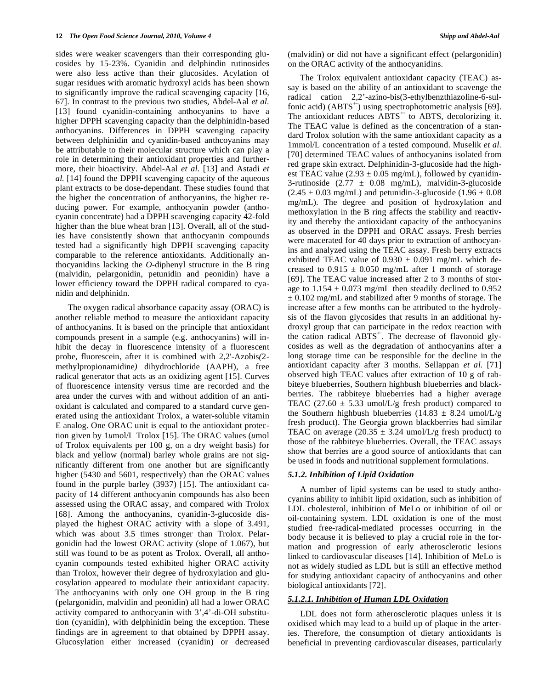sides were weaker scavengers than their corresponding glucosides by 15-23%. Cyanidin and delphindin rutinosides were also less active than their glucosides. Acylation of sugar residues with aromatic hydroxyl acids has been shown to significantly improve the radical scavenging capacity [16, 67]. In contrast to the previous two studies, Abdel-Aal *et al.* [13] found cyanidin-containing anthocyanins to have a higher DPPH scavenging capacity than the delphinidin-based anthocyanins. Differences in DPPH scavenging capacity between delphinidin and cyanidin-based anthcoyanins may be attributable to their molecular structure which can play a role in determining their antioxidant properties and furthermore, their bioactivity. Abdel-Aal *et al.* [13] and Astadi *et al.* [14] found the DPPH scavenging capacity of the aqueous plant extracts to be dose-dependant. These studies found that the higher the concentration of anthocyanins, the higher reducing power. For example, anthocyanin powder (anthocyanin concentrate) had a DPPH scavenging capacity 42-fold higher than the blue wheat bran [13]. Overall, all of the studies have consistently shown that anthocyanin compounds tested had a significantly high DPPH scavenging capacity comparable to the reference antioxidants. Additionally anthocyanidins lacking the *O*-diphenyl structure in the B ring (malvidin, pelargonidin, petunidin and peonidin) have a lower efficiency toward the DPPH radical compared to cyanidin and delphinidn.

The oxygen radical absorbance capacity assay (ORAC) is another reliable method to measure the antioxidant capacity of anthocyanins. It is based on the principle that antioxidant compounds present in a sample (e.g. anthocyanins) will inhibit the decay in fluorescence intensity of a fluorescent probe, fluorescein, after it is combined with 2*,*2'-Azobis*(*2 methylpropionamidine*)* dihydrochloride (AAPH), a free radical generator that acts as an oxidizing agent [15]. Curves of fluorescence intensity versus time are recorded and the area under the curves with and without addition of an antioxidant is calculated and compared to a standard curve generated using the antioxidant Trolox, a water-soluble vitamin E analog. One ORAC unit is equal to the antioxidant protection given by 1*u*mol/L Trolox [15]. The ORAC values (*u*mol of Trolox equivalents per 100 g, on a dry weight basis) for black and yellow (normal) barley whole grains are not significantly different from one another but are significantly higher (5430 and 5601, respectively) than the ORAC values found in the purple barley (3937) [15]. The antioxidant capacity of 14 different anthocyanin compounds has also been assessed using the ORAC assay, and compared with Trolox [68]. Among the anthocyanins, cyanidin-3-glucoside displayed the highest ORAC activity with a slope of 3.491, which was about 3.5 times stronger than Trolox. Pelargonidin had the lowest ORAC activity (slope of 1.067), but still was found to be as potent as Trolox. Overall, all anthocyanin compounds tested exhibited higher ORAC activity than Trolox, however their degree of hydroxylation and glucosylation appeared to modulate their antioxidant capacity. The anthocyanins with only one OH group in the B ring (pelargonidin, malvidin and peonidin) all had a lower ORAC activity compared to anthocyanin with 3',4'-di-OH substitution (cyanidin), with delphinidin being the exception. These findings are in agreement to that obtained by DPPH assay. Glucosylation either increased (cyanidin) or decreased (malvidin) or did not have a significant effect (pelargonidin) on the ORAC activity of the anthocyanidins.

The Trolox equivalent antioxidant capacity (TEAC) assay is based on the ability of an antioxidant to scavenge the radical cation 2,2'-azino-bis(3-ethylbenzthiazoline-6-sulfonic acid) (ABTS<sup>+</sup>) using spectrophotometric analysis [69]. The antioxidant reduces ABTS<sup>+</sup> to ABTS, decolorizing it. The TEAC value is defined as the concentration of a standard Trolox solution with the same antioxidant capacity as a 1mmol/L concentration of a tested compound. Muselik *et al.* [70] determined TEAC values of anthocyanins isolated from red grape skin extract. Delphinidin-3-glucoside had the highest TEAC value  $(2.93 \pm 0.05 \text{ mg/mL})$ , followed by cyanidin-3-rutinoside  $(2.77 \pm 0.08 \text{ mg/mL})$ , malvidin-3-glucoside  $(2.45 \pm 0.03 \text{ mg/mL})$  and petunidin-3-glucoside  $(1.96 \pm 0.08 \text{ m})$ mg/mL). The degree and position of hydroxylation and methoxylation in the B ring affects the stability and reactivity and thereby the antioxidant capacity of the anthocyanins as observed in the DPPH and ORAC assays. Fresh berries were macerated for 40 days prior to extraction of anthocyanins and analyzed using the TEAC assay. Fresh berry extracts exhibited TEAC value of  $0.930 \pm 0.091$  mg/mL which decreased to  $0.915 \pm 0.050$  mg/mL after 1 month of storage [69]. The TEAC value increased after 2 to 3 months of storage to  $1.154 \pm 0.073$  mg/mL then steadily declined to 0.952  $\pm$  0.102 mg/mL and stabilized after 9 months of storage. The increase after a few months can be attributed to the hydrolysis of the flavon glycosides that results in an additional hydroxyl group that can participate in the redox reaction with the cation radical  $ABTS^+$ . The decrease of flavonoid glycosides as well as the degradation of anthocyanins after a long storage time can be responsible for the decline in the antioxidant capacity after 3 months. Sellappan *et al.* [71] observed high TEAC values after extraction of 10 g of rabbiteye blueberries, Southern highbush blueberries and blackberries. The rabbiteye blueberries had a higher average TEAC (27.60  $\pm$  5.33 umol/L/g fresh product) compared to the Southern highbush blueberries (14.83  $\pm$  8.24 umol/L/g fresh product). The Georgia grown blackberries had similar TEAC on average  $(20.35 \pm 3.24 \text{ umol/L/g}$  fresh product) to those of the rabbiteye blueberries. Overall, the TEAC assays show that berries are a good source of antioxidants that can be used in foods and nutritional supplement formulations.

#### *5.1.2. Inhibition of Lipid Oxidation*

A number of lipid systems can be used to study anthocyanins ability to inhibit lipid oxidation, such as inhibition of LDL cholesterol, inhibition of MeLo or inhibition of oil or oil-containing system. LDL oxidation is one of the most studied free-radical-mediated processes occurring in the body because it is believed to play a crucial role in the formation and progression of early atherosclerotic lesions linked to cardiovascular diseases [14]. Inhibition of MeLo is not as widely studied as LDL but is still an effective method for studying antioxidant capacity of anthocyanins and other biological antioxidants [72].

# *5.1.2.1. Inhibition of Human LDL Oxidation*

LDL does not form atherosclerotic plaques unless it is oxidised which may lead to a build up of plaque in the arteries. Therefore, the consumption of dietary antioxidants is beneficial in preventing cardiovascular diseases, particularly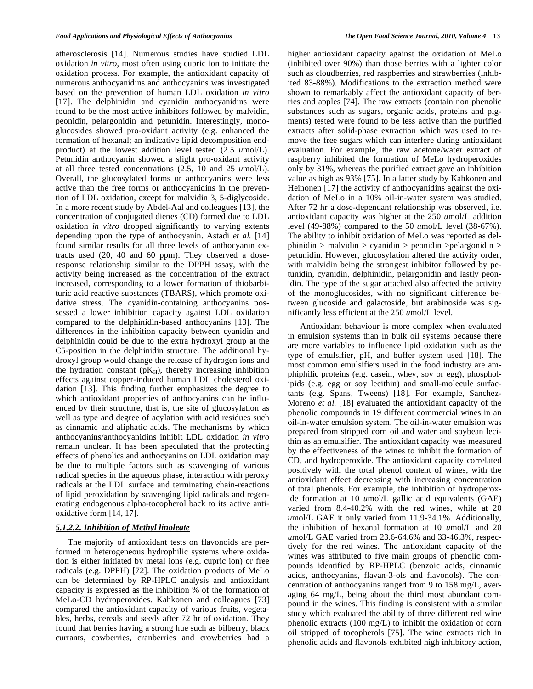atherosclerosis [14]. Numerous studies have studied LDL oxidation *in vitro*, most often using cupric ion to initiate the oxidation process. For example, the antioxidant capacity of numerous anthocyanidins and anthocyanins was investigated based on the prevention of human LDL oxidation *in vitro* [17]. The delphinidin and cyanidin anthocyanidins were found to be the most active inhibitors followed by malvidin, peonidin, pelargonidin and petunidin. Interestingly, monoglucosides showed pro-oxidant activity (e.g. enhanced the formation of hexanal; an indicative lipid decomposition endproduct) at the lowest addition level tested (2.5 *u*mol/L). Petunidin anthocyanin showed a slight pro-oxidant activity at all three tested concentrations (2.5, 10 and 25 *u*mol/L). Overall, the glucosylated forms or anthocyanins were less active than the free forms or anthocyanidins in the prevention of LDL oxidation, except for malvidin 3, 5-diglycoside. In a more recent study by Abdel-Aal and colleagues [13], the concentration of conjugated dienes (CD) formed due to LDL oxidation *in vitro* dropped significantly to varying extents depending upon the type of anthocyanin. Astadi *et al.* [14] found similar results for all three levels of anthocyanin extracts used (20, 40 and 60 ppm). They observed a doseresponse relationship similar to the DPPH assay, with the activity being increased as the concentration of the extract increased, corresponding to a lower formation of thiobarbituric acid reactive substances (TBARS), which promote oxidative stress. The cyanidin-containing anthocyanins possessed a lower inhibition capacity against LDL oxidation compared to the delphinidin-based anthocyanins [13]. The differences in the inhibition capacity between cyanidin and delphinidin could be due to the extra hydroxyl group at the C5-position in the delphinidin structure. The additional hydroxyl group would change the release of hydrogen ions and the hydration constant  $(pK_H)$ , thereby increasing inhibition effects against copper-induced human LDL cholesterol oxidation [13]. This finding further emphasizes the degree to which antioxidant properties of anthocyanins can be influenced by their structure, that is, the site of glucosylation as well as type and degree of acylation with acid residues such as cinnamic and aliphatic acids. The mechanisms by which anthocyanins/anthocyanidins inhibit LDL oxidation *in vitro* remain unclear. It has been speculated that the protecting effects of phenolics and anthocyanins on LDL oxidation may be due to multiple factors such as scavenging of various radical species in the aqueous phase, interaction with peroxy radicals at the LDL surface and terminating chain-reactions of lipid peroxidation by scavenging lipid radicals and regenerating endogenous alpha-tocopherol back to its active antioxidative form [14, 17].

# *5.1.2.2. Inhibition of Methyl linoleate*

The majority of antioxidant tests on flavonoids are performed in heterogeneous hydrophilic systems where oxidation is either initiated by metal ions (e.g. cupric ion) or free radicals (e.g. DPPH) [72]. The oxidation products of MeLo can be determined by RP-HPLC analysis and antioxidant capacity is expressed as the inhibition % of the formation of MeLo-CD hydroperoxides. Kahkonen and colleagues [73] compared the antioxidant capacity of various fruits, vegetables, herbs, cereals and seeds after 72 hr of oxidation. They found that berries having a strong hue such as bilberry, black currants, cowberries, cranberries and crowberries had a

higher antioxidant capacity against the oxidation of MeLo (inhibited over 90%) than those berries with a lighter color such as cloudberries, red raspberries and strawberries (inhibited 83-88%). Modifications to the extraction method were shown to remarkably affect the antioxidant capacity of berries and apples [74]. The raw extracts (contain non phenolic substances such as sugars, organic acids, proteins and pigments) tested were found to be less active than the purified extracts after solid-phase extraction which was used to remove the free sugars which can interfere during antioxidant evaluation. For example, the raw acetone/water extract of raspberry inhibited the formation of MeLo hydroperoxides only by 31%, whereas the purified extract gave an inhibition value as high as 93% [75]. In a latter study by Kahkonen and Heinonen [17] the activity of anthocyanidins against the oxidation of MeLo in a 10% oil-in-water system was studied. After 72 hr a dose-dependant relationship was observed, i.e. antioxidant capacity was higher at the 250 *u*mol/L addition level (49-88%) compared to the 50 *u*mol/L level (38-67%). The ability to inhibit oxidation of MeLo was reported as delphinidin  $>$  malvidin  $>$  cyanidin  $>$  peonidin  $>$ pelargonidin  $>$ petunidin. However, glucosylation altered the activity order, with malvidin being the strongest inhibitor followed by petunidin, cyanidin, delphinidin, pelargonidin and lastly peonidin. The type of the sugar attached also affected the activity of the monoglucosides, with no significant difference between glucoside and galactoside, but arabinoside was significantly less efficient at the 250 *u*mol/L level.

Antioxidant behaviour is more complex when evaluated in emulsion systems than in bulk oil systems because there are more variables to influence lipid oxidation such as the type of emulsifier, pH, and buffer system used [18]. The most common emulsifiers used in the food industry are amphiphilic proteins (e.g. casein, whey, soy or egg), phospholipids (e.g. egg or soy lecithin) and small-molecule surfactants (e.g. Spans, Tweens) [18]. For example, Sanchez-Moreno *et al.* [18] evaluated the antioxidant capacity of the phenolic compounds in 19 different commercial wines in an oil-in-water emulsion system. The oil-in-water emulsion was prepared from stripped corn oil and water and soybean lecithin as an emulsifier. The antioxidant capacity was measured by the effectiveness of the wines to inhibit the formation of CD, and hydroperoxide. The antioxidant capacity correlated positively with the total phenol content of wines, with the antioxidant effect decreasing with increasing concentration of total phenols. For example, the inhibition of hydroperoxide formation at 10 *u*mol/L gallic acid equivalents (GAE) varied from 8.4-40.2% with the red wines, while at 20 *u*mol/L GAE it only varied from 11.9-34.1%. Additionally, the inhibition of hexanal formation at 10 *u*mol/L and 20 *u*mol/L GAE varied from 23.6-64.6% and 33-46.3%, respectively for the red wines. The antioxidant capacity of the wines was attributed to five main groups of phenolic compounds identified by RP-HPLC (benzoic acids, cinnamic acids, anthocyanins, flavan-3-ols and flavonols). The concentration of anthocyanins ranged from 9 to 158 mg/L, averaging 64 mg/L, being about the third most abundant compound in the wines. This finding is consistent with a similar study which evaluated the ability of three different red wine phenolic extracts (100 mg/L) to inhibit the oxidation of corn oil stripped of tocopherols [75]. The wine extracts rich in phenolic acids and flavonols exhibited high inhibitory action,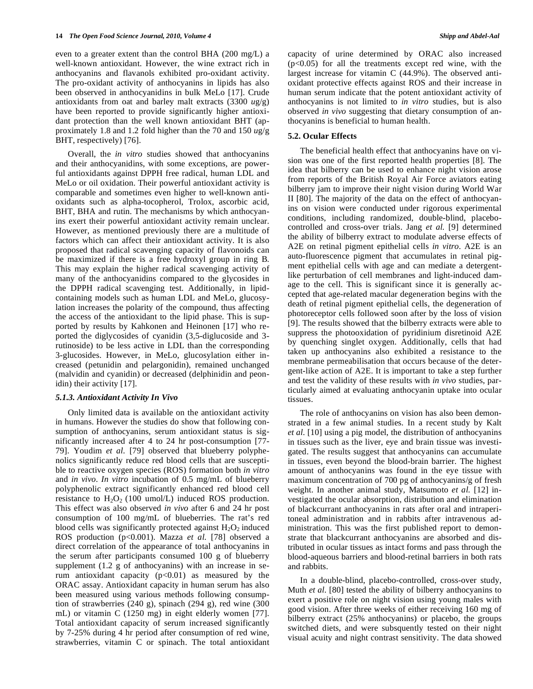even to a greater extent than the control BHA (200 mg/L) a well-known antioxidant. However, the wine extract rich in anthocyanins and flavanols exhibited pro-oxidant activity. The pro-oxidant activity of anthocyanins in lipids has also been observed in anthocyanidins in bulk MeLo [17]. Crude antioxidants from oat and barley malt extracts (3300 *u*g/g) have been reported to provide significantly higher antioxidant protection than the well known antioxidant BHT (approximately 1.8 and 1.2 fold higher than the 70 and 150 *u*g/g BHT, respectively) [76].

Overall, the *in vitro* studies showed that anthocyanins and their anthocyanidins, with some exceptions, are powerful antioxidants against DPPH free radical, human LDL and MeLo or oil oxidation. Their powerful antioxidant activity is comparable and sometimes even higher to well-known antioxidants such as alpha-tocopherol, Trolox, ascorbic acid, BHT, BHA and rutin. The mechanisms by which anthocyanins exert their powerful antioxidant activity remain unclear. However, as mentioned previously there are a multitude of factors which can affect their antioxidant activity. It is also proposed that radical scavenging capacity of flavonoids can be maximized if there is a free hydroxyl group in ring B. This may explain the higher radical scavenging activity of many of the anthocyanidins compared to the glycosides in the DPPH radical scavenging test. Additionally, in lipidcontaining models such as human LDL and MeLo, glucosylation increases the polarity of the compound, thus affecting the access of the antioxidant to the lipid phase. This is supported by results by Kahkonen and Heinonen [17] who reported the diglycosides of cyanidin (3,5-diglucoside and 3 rutinoside) to be less active in LDL than the corresponding 3-glucosides. However, in MeLo, glucosylation either increased (petunidin and pelargonidin), remained unchanged (malvidin and cyanidin) or decreased (delphinidin and peonidin) their activity [17].

#### *5.1.3. Antioxidant Activity In Vivo*

Only limited data is available on the antioxidant activity in humans. However the studies do show that following consumption of anthocyanins, serum antioxidant status is significantly increased after 4 to 24 hr post-consumption [77- 79]. Youdim *et al.* [79] observed that blueberry polyphenolics significantly reduce red blood cells that are susceptible to reactive oxygen species (ROS) formation both *in vitro* and *in vivo*. *In vitro* incubation of 0.5 mg/mL of blueberry polyphenolic extract significantly enhanced red blood cell resistance to  $H_2O_2$  (100 umol/L) induced ROS production. This effect was also observed *in vivo* after 6 and 24 hr post consumption of 100 mg/mL of blueberries. The rat's red blood cells was significantly protected against  $H_2O_2$  induced ROS production (p<0.001). Mazza *et al.* [78] observed a direct correlation of the appearance of total anthocyanins in the serum after participants consumed 100 g of blueberry supplement  $(1.2 \text{ g of anthocyanins})$  with an increase in serum antioxidant capacity  $(p<0.01)$  as measured by the ORAC assay. Antioxidant capacity in human serum has also been measured using various methods following consumption of strawberries (240 g), spinach (294 g), red wine (300 mL) or vitamin C (1250 mg) in eight elderly women [77]. Total antioxidant capacity of serum increased significantly by 7-25% during 4 hr period after consumption of red wine, strawberries, vitamin C or spinach. The total antioxidant

capacity of urine determined by ORAC also increased  $(p<0.05)$  for all the treatments except red wine, with the largest increase for vitamin C (44.9%). The observed antioxidant protective effects against ROS and their increase in human serum indicate that the potent antioxidant activity of anthocyanins is not limited to *in vitro* studies, but is also observed *in vivo* suggesting that dietary consumption of anthocyanins is beneficial to human health.

## **5.2. Ocular Effects**

The beneficial health effect that anthocyanins have on vision was one of the first reported health properties [8]. The idea that bilberry can be used to enhance night vision arose from reports of the British Royal Air Force aviators eating bilberry jam to improve their night vision during World War II [80]. The majority of the data on the effect of anthocyanins on vision were conducted under rigorous experimental conditions, including randomized, double-blind, placebocontrolled and cross-over trials. Jang *et al.* [9] determined the ability of bilberry extract to modulate adverse effects of A2E on retinal pigment epithelial cells *in vitro*. A2E is an auto-fluorescence pigment that accumulates in retinal pigment epithelial cells with age and can mediate a detergentlike perturbation of cell membranes and light-induced damage to the cell. This is significant since it is generally accepted that age-related macular degeneration begins with the death of retinal pigment epithelial cells, the degeneration of photoreceptor cells followed soon after by the loss of vision [9]. The results showed that the bilberry extracts were able to suppress the photooxidation of pyridinium disretinoid A2E by quenching singlet oxygen. Additionally, cells that had taken up anthocyanins also exhibited a resistance to the membrane permeabilisation that occurs because of the detergent-like action of A2E. It is important to take a step further and test the validity of these results with *in vivo* studies, particularly aimed at evaluating anthocyanin uptake into ocular tissues.

The role of anthocyanins on vision has also been demonstrated in a few animal studies. In a recent study by Kalt *et al.* [10] using a pig model, the distribution of anthocyanins in tissues such as the liver, eye and brain tissue was investigated. The results suggest that anthocyanins can accumulate in tissues, even beyond the blood-brain barrier. The highest amount of anthocyanins was found in the eye tissue with maximum concentration of 700 pg of anthocyanins/g of fresh weight. In another animal study, Matsumoto *et al.* [12] investigated the ocular absorption, distribution and elimination of blackcurrant anthocyanins in rats after oral and intraperitoneal administration and in rabbits after intravenous administration. This was the first published report to demonstrate that blackcurrant anthocyanins are absorbed and distributed in ocular tissues as intact forms and pass through the blood-aqueous barriers and blood-retinal barriers in both rats and rabbits.

In a double-blind, placebo-controlled, cross-over study, Muth *et al.* [80] tested the ability of bilberry anthocyanins to exert a positive role on night vision using young males with good vision. After three weeks of either receiving 160 mg of bilberry extract (25% anthocyanins) or placebo, the groups switched diets, and were subsquently tested on their night visual acuity and night contrast sensitivity. The data showed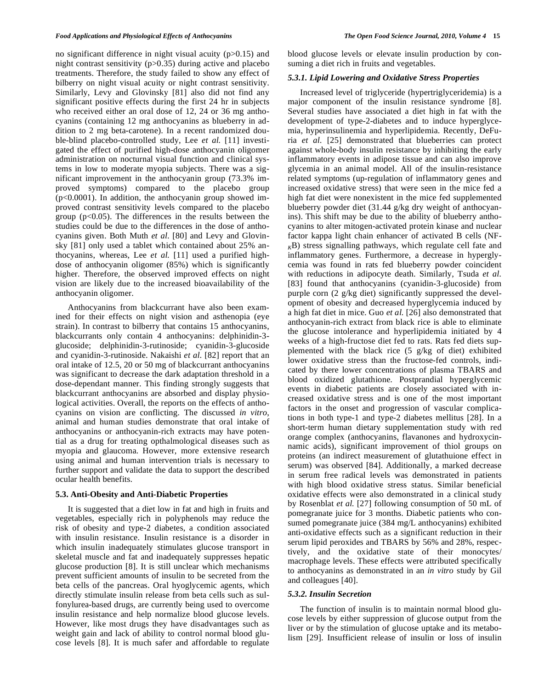no significant difference in night visual acuity (p>0.15) and night contrast sensitivity  $(p>0.35)$  during active and placebo treatments. Therefore, the study failed to show any effect of bilberry on night visual acuity or night contrast sensitivity. Similarly, Levy and Glovinsky [81] also did not find any significant positive effects during the first 24 hr in subjects who received either an oral dose of 12, 24 or 36 mg anthocyanins (containing 12 mg anthocyanins as blueberry in addition to 2 mg beta-carotene). In a recent randomized double-blind placebo-controlled study, Lee *et al.* [11] investigated the effect of purified high-dose anthocyanin oligomer administration on nocturnal visual function and clinical systems in low to moderate myopia subjects. There was a significant improvement in the anthocyanin group (73.3% improved symptoms) compared to the placebo group  $(p<0.0001)$ . In addition, the anthocyanin group showed improved contrast sensitivity levels compared to the placebo group ( $p<0.05$ ). The differences in the results between the studies could be due to the differences in the dose of anthocyanins given. Both Muth *et al.* [80] and Levy and Glovinsky [81] only used a tablet which contained about 25% anthocyanins, whereas, Lee *et al.* [11] used a purified highdose of anthocyanin oligomer (85%) which is significantly higher. Therefore, the observed improved effects on night vision are likely due to the increased bioavailability of the anthocyanin oligomer.

Anthocyanins from blackcurrant have also been examined for their effects on night vision and asthenopia (eye strain). In contrast to bilberry that contains 15 anthocyanins, blackcurrants only contain 4 anthocyanins: delphinidin-3 glucoside; delphinidin-3-rutinoside; cyanidin-3-glucoside and cyanidin-3-rutinoside. Nakaishi *et al.* [82] report that an oral intake of 12.5, 20 or 50 mg of blackcurrant anthocyanins was significant to decrease the dark adaptation threshold in a dose-dependant manner. This finding strongly suggests that blackcurrant anthocyanins are absorbed and display physiological activities. Overall, the reports on the effects of anthocyanins on vision are conflicting. The discussed *in vitro*, animal and human studies demonstrate that oral intake of anthocyanins or anthocyanin-rich extracts may have potential as a drug for treating opthalmological diseases such as myopia and glaucoma. However, more extensive research using animal and human intervention trials is necessary to further support and validate the data to support the described ocular health benefits.

#### **5.3. Anti-Obesity and Anti-Diabetic Properties**

It is suggested that a diet low in fat and high in fruits and vegetables, especially rich in polyphenols may reduce the risk of obesity and type-2 diabetes, a condition associated with insulin resistance. Insulin resistance is a disorder in which insulin inadequately stimulates glucose transport in skeletal muscle and fat and inadequately suppresses hepatic glucose production [8]. It is still unclear which mechanisms prevent sufficient amounts of insulin to be secreted from the beta cells of the pancreas. Oral hyoglycemic agents, which directly stimulate insulin release from beta cells such as sulfonylurea-based drugs, are currently being used to overcome insulin resistance and help normalize blood glucose levels. However, like most drugs they have disadvantages such as weight gain and lack of ability to control normal blood glucose levels [8]. It is much safer and affordable to regulate

blood glucose levels or elevate insulin production by consuming a diet rich in fruits and vegetables.

## *5.3.1. Lipid Lowering and Oxidative Stress Properties*

Increased level of triglyceride (hypertriglyceridemia) is a major component of the insulin resistance syndrome [8]. Several studies have associated a diet high in fat with the development of type-2-diabetes and to induce hyperglycemia, hyperinsulinemia and hyperlipidemia. Recently, DeFuria *et al.* [25] demonstrated that blueberries can protect against whole-body insulin resistance by inhibiting the early inflammatory events in adipose tissue and can also improve glycemia in an animal model. All of the insulin-resistance related symptoms (up-regulation of inflammatory genes and increased oxidative stress) that were seen in the mice fed a high fat diet were nonexistent in the mice fed supplemented blueberry powder diet (31.44 g/kg dry weight of anthocyanins). This shift may be due to the ability of blueberry anthocyanins to alter mitogen-activated protein kinase and nuclear factor kappa light chain enhancer of activated B cells (NF- $K$ B) stress signalling pathways, which regulate cell fate and inflammatory genes. Furthermore, a decrease in hyperglycemia was found in rats fed blueberry powder coincident with reductions in adipocyte death. Similarly, Tsuda *et al.* [83] found that anthocyanins (cyanidin-3-glucoside) from purple corn (2 g/kg diet) significantly suppressed the development of obesity and decreased hyperglycemia induced by a high fat diet in mice. Guo *et al.* [26] also demonstrated that anthocyanin-rich extract from black rice is able to eliminate the glucose intolerance and hyperlipidemia initiated by 4 weeks of a high-fructose diet fed to rats. Rats fed diets supplemented with the black rice (5 g/kg of diet) exhibited lower oxidative stress than the fructose-fed controls, indicated by there lower concentrations of plasma TBARS and blood oxidized glutathione. Postprandial hyperglycemic events in diabetic patients are closely associated with increased oxidative stress and is one of the most important factors in the onset and progression of vascular complications in both type-1 and type-2 diabetes mellitus [28]. In a short-term human dietary supplementation study with red orange complex (anthocyanins, flavanones and hydroxycinnamic acids), significant improvement of thiol groups on proteins (an indirect measurement of glutathuione effect in serum) was observed [84]. Additionally, a marked decrease in serum free radical levels was demonstrated in patients with high blood oxidative stress status. Similar beneficial oxidative effects were also demonstrated in a clinical study by Rosenblat *et al.* [27] following consumption of 50 mL of pomegranate juice for 3 months. Diabetic patients who consumed pomegranate juice (384 mg/L anthocyanins) exhibited anti-oxidative effects such as a significant reduction in their serum lipid peroxides and TBARS by 56% and 28%, respectively, and the oxidative state of their monocytes/ macrophage levels. These effects were attributed specifically to anthocyanins as demonstrated in an *in vitro* study by Gil and colleagues [40].

## *5.3.2. Insulin Secretion*

The function of insulin is to maintain normal blood glucose levels by either suppression of glucose output from the liver or by the stimulation of glucose uptake and its metabolism [29]. Insufficient release of insulin or loss of insulin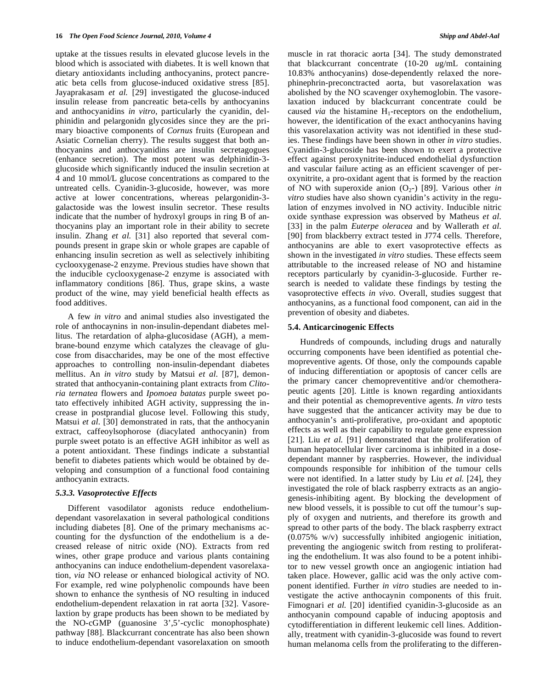uptake at the tissues results in elevated glucose levels in the blood which is associated with diabetes. It is well known that dietary antioxidants including anthocyanins, protect pancreatic beta cells from glucose-induced oxidative stress [85]. Jayaprakasam *et al.* [29] investigated the glucose-induced insulin release from pancreatic beta-cells by anthocyanins and anthocyanidins *in vitro*, particularly the cyanidin, delphinidin and pelargonidn glycosides since they are the primary bioactive components of *Cornus* fruits (European and Asiatic Cornelian cherry). The results suggest that both anthocyanins and anthocyanidins are insulin secretagogues (enhance secretion). The most potent was delphinidin-3 glucoside which significantly induced the insulin secretion at 4 and 10 mmol/L glucose concentrations as compared to the untreated cells. Cyanidin-3-glucoside, however, was more active at lower concentrations, whereas pelargonidin-3 galactoside was the lowest insulin secretor. These results indicate that the number of hydroxyl groups in ring B of anthocyanins play an important role in their ability to secrete insulin. Zhang *et al.* [31] also reported that several compounds present in grape skin or whole grapes are capable of enhancing insulin secretion as well as selectively inhibiting cyclooxygenase-2 enzyme. Previous studies have shown that the inducible cyclooxygenase-2 enzyme is associated with inflammatory conditions [86]. Thus, grape skins, a waste product of the wine, may yield beneficial health effects as food additives.

A few *in vitro* and animal studies also investigated the role of anthocaynins in non-insulin-dependant diabetes mellitus. The retardation of alpha-glucosidase (AGH), a membrane-bound enzyme which catalyzes the cleavage of glucose from disaccharides, may be one of the most effective approaches to controlling non-insulin-dependant diabetes mellitus. An *in vitro* study by Matsui *et al.* [87], demonstrated that anthocyanin-containing plant extracts from *Clitoria ternatea* flowers and *Ipomoea batatas* purple sweet potato effectively inhibited AGH activity, suppressing the increase in postprandial glucose level. Following this study, Matsui *et al.* [30] demonstrated in rats, that the anthocyanin extract, caffeoylsophorose (diacylated anthocyanin) from purple sweet potato is an effective AGH inhibitor as well as a potent antioxidant. These findings indicate a substantial benefit to diabetes patients which would be obtained by developing and consumption of a functional food containing anthocyanin extracts.

## *5.3.3. Vasoprotective Effects*

Different vasodilator agonists reduce endotheliumdependant vasorelaxation in several pathological conditions including diabetes [8]. One of the primary mechanisms accounting for the dysfunction of the endothelium is a decreased release of nitric oxide (NO). Extracts from red wines, other grape produce and various plants containing anthocyanins can induce endothelium-dependent vasorelaxation, *via* NO release or enhanced biological activity of NO. For example, red wine polyphenolic compounds have been shown to enhance the synthesis of NO resulting in induced endothelium-dependent relaxation in rat aorta [32]. Vasorelaxtion by grape products has been shown to be mediated by the NO-cGMP (guanosine 3',5'-cyclic monophosphate) pathway [88]. Blackcurrant concentrate has also been shown to induce endothelium-dependant vasorelaxation on smooth muscle in rat thoracic aorta [34]. The study demonstrated that blackcurrant concentrate (10-20 *u*g/mL containing 10.83% anthocyanins) dose-dependently relaxed the norephinephrin-preconctracted aorta, but vasorelaxation was abolished by the NO scavenger oxyhemoglobin. The vasorelaxation induced by blackcurrant concentrate could be caused *via* the histamine  $H_1$ -receptors on the endothelium, however, the identification of the exact anthocyanins having this vasorelaxation activity was not identified in these studies. These findings have been shown in other *in vitro* studies. Cyanidin-3-glucoside has been shown to exert a protective effect against peroxynitrite-induced endothelial dysfunction and vascular failure acting as an efficient scavenger of peroxynitrite, a pro-oxidant agent that is formed by the reaction of NO with superoxide anion  $(O_{2-})$  [89]. Various other *in vitro* studies have also shown cyanidin's activity in the regulation of enzymes involved in NO activity. Inducible nitric oxide synthase expression was observed by Matheus *et al.* [33] in the palm *Euterpe oleracea* and by Wallerath *et al.*  [90] from blackberry extract tested in J774 cells. Therefore, anthocyanins are able to exert vasoprotective effects as shown in the investigated *in vitro* studies. These effects seem attributable to the increased release of NO and histamine receptors particularly by cyanidin-3-glucoside. Further research is needed to validate these findings by testing the vasoprotective effects *in vivo*. Overall, studies suggest that anthocyanins, as a functional food component, can aid in the prevention of obesity and diabetes.

#### **5.4. Anticarcinogenic Effects**

Hundreds of compounds, including drugs and naturally occurring components have been identified as potential chemopreventive agents. Of those, only the compounds capable of inducing differentiation or apoptosis of cancer cells are the primary cancer chemopreventitive and/or chemotherapeutic agents [20]. Little is known regarding antioxidants and their potential as chemopreventive agents. *In vitro* tests have suggested that the anticancer activity may be due to anthocyanin's anti-proliferative, pro-oxidant and apoptotic effects as well as their capability to regulate gene expression [21]. Liu *et al.* [91] demonstrated that the proliferation of human hepatocellular liver carcinoma is inhibited in a dosedependant manner by raspberries. However, the individual compounds responsible for inhibition of the tumour cells were not identified. In a latter study by Liu *et al.* [24], they investigated the role of black raspberry extracts as an angiogenesis-inhibiting agent. By blocking the development of new blood vessels, it is possible to cut off the tumour's supply of oxygen and nutrients, and therefore its growth and spread to other parts of the body. The black raspberry extract (0.075% w/v) successfully inhibited angiogenic initiation, preventing the angiogenic switch from resting to proliferating the endothelium. It was also found to be a potent inhibitor to new vessel growth once an angiogenic intiation had taken place. However, gallic acid was the only active component identified. Further *in vitro* studies are needed to investigate the active anthocaynin components of this fruit. Fimognari *et al.* [20] identified cyanidin-3-glucoside as an anthocyanin compound capable of inducing apoptosis and cytodifferentiation in different leukemic cell lines. Additionally, treatment with cyanidin-3-glucoside was found to revert human melanoma cells from the proliferating to the differen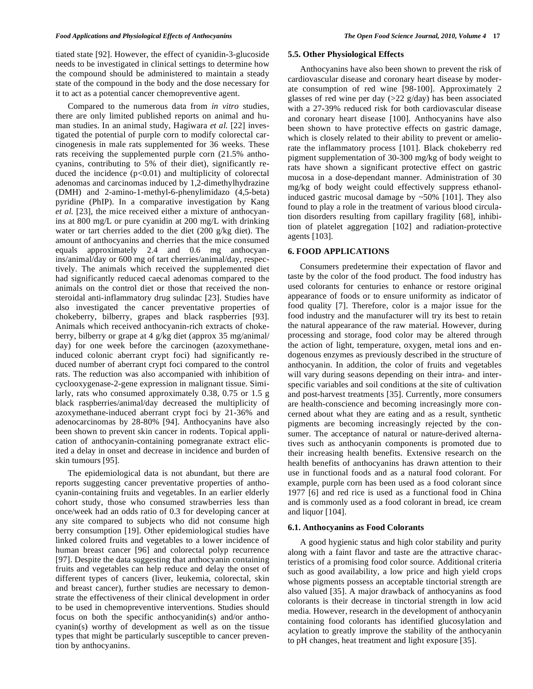tiated state [92]. However, the effect of cyanidin-3-glucoside needs to be investigated in clinical settings to determine how the compound should be administered to maintain a steady state of the compound in the body and the dose necessary for it to act as a potential cancer chemopreventive agent.

Compared to the numerous data from *in vitro* studies, there are only limited published reports on animal and human studies. In an animal study, Hagiwara *et al.* [22] investigated the potential of purple corn to modify colorectal carcinogenesis in male rats supplemented for 36 weeks. These rats receiving the supplemented purple corn (21.5% anthocyanins, contributing to 5% of their diet), significantly reduced the incidence  $(p<0.01)$  and multiplicity of colorectal adenomas and carcinomas induced by 1,2-dimethylhydrazine (DMH) and 2-amino-1-methyl-6-phenylimidazo (4,5-beta) pyridine (PhIP). In a comparative investigation by Kang *et al.* [23], the mice received either a mixture of anthocyanins at 800 mg/L or pure cyanidin at 200 mg/L with drinking water or tart cherries added to the diet (200 g/kg diet). The amount of anthocyanins and cherries that the mice consumed equals approximately 2.4 and 0.6 mg anthocyanins/animal/day or 600 mg of tart cherries/animal/day, respectively. The animals which received the supplemented diet had significantly reduced caecal adenomas compared to the animals on the control diet or those that received the nonsteroidal anti-inflammatory drug sulindac [23]. Studies have also investigated the cancer preventative properties of chokeberry, bilberry, grapes and black raspberries [93]. Animals which received anthocyanin-rich extracts of chokeberry, bilberry or grape at 4 g/kg diet (approx 35 mg/animal/ day) for one week before the carcinogen (azoxymethaneinduced colonic aberrant crypt foci) had significantly reduced number of aberrant crypt foci compared to the control rats. The reduction was also accompanied with inhibition of cyclooxygenase-2-gene expression in malignant tissue. Similarly, rats who consumed approximately 0.38, 0.75 or 1.5 g black raspberries/animal/day decreased the multiplicity of azoxymethane-induced aberrant crypt foci by 21-36% and adenocarcinomas by 28-80% [94]. Anthocyanins have also been shown to prevent skin cancer in rodents. Topical application of anthocyanin-containing pomegranate extract elicited a delay in onset and decrease in incidence and burden of skin tumours [95].

The epidemiological data is not abundant, but there are reports suggesting cancer preventative properties of anthocyanin-containing fruits and vegetables. In an earlier elderly cohort study, those who consumed strawberries less than once/week had an odds ratio of 0.3 for developing cancer at any site compared to subjects who did not consume high berry consumption [19]. Other epidemiological studies have linked colored fruits and vegetables to a lower incidence of human breast cancer [96] and colorectal polyp recurrence [97]. Despite the data suggesting that anthocyanin containing fruits and vegetables can help reduce and delay the onset of different types of cancers (liver, leukemia, colorectal, skin and breast cancer), further studies are necessary to demonstrate the effectiveness of their clinical development in order to be used in chemopreventive interventions. Studies should focus on both the specific anthocyanidin(s) and/or anthocyanin(s) worthy of development as well as on the tissue types that might be particularly susceptible to cancer prevention by anthocyanins.

### **5.5. Other Physiological Effects**

Anthocyanins have also been shown to prevent the risk of cardiovascular disease and coronary heart disease by moderate consumption of red wine [98-100]. Approximately 2 glasses of red wine per day (>22 g/day) has been associated with a 27-39% reduced risk for both cardiovascular disease and coronary heart disease [100]. Anthocyanins have also been shown to have protective effects on gastric damage, which is closely related to their ability to prevent or ameliorate the inflammatory process [101]. Black chokeberry red pigment supplementation of 30-300 mg/kg of body weight to rats have shown a significant protective effect on gastric mucosa in a dose-dependant manner. Administration of 30 mg/kg of body weight could effectively suppress ethanolinduced gastric mucosal damage by ~50% [101]. They also found to play a role in the treatment of various blood circulation disorders resulting from capillary fragility [68], inhibition of platelet aggregation [102] and radiation-protective agents [103].

#### **6. FOOD APPLICATIONS**

Consumers predetermine their expectation of flavor and taste by the color of the food product. The food industry has used colorants for centuries to enhance or restore original appearance of foods or to ensure uniformity as indicator of food quality [7]. Therefore, color is a major issue for the food industry and the manufacturer will try its best to retain the natural appearance of the raw material. However, during processing and storage, food color may be altered through the action of light, temperature, oxygen, metal ions and endogenous enzymes as previously described in the structure of anthocyanin. In addition, the color of fruits and vegetables will vary during seasons depending on their intra- and interspecific variables and soil conditions at the site of cultivation and post-harvest treatments [35]. Currently, more consumers are health-conscience and becoming increasingly more concerned about what they are eating and as a result, synthetic pigments are becoming increasingly rejected by the consumer. The acceptance of natural or nature-derived alternatives such as anthocyanin components is promoted due to their increasing health benefits. Extensive research on the health benefits of anthocyanins has drawn attention to their use in functional foods and as a natural food colorant. For example, purple corn has been used as a food colorant since 1977 [6] and red rice is used as a functional food in China and is commonly used as a food colorant in bread, ice cream and liquor [104].

#### **6.1. Anthocyanins as Food Colorants**

A good hygienic status and high color stability and purity along with a faint flavor and taste are the attractive characteristics of a promising food color source. Additional criteria such as good availability, a low price and high yield crops whose pigments possess an acceptable tinctorial strength are also valued [35]. A major drawback of anthocyanins as food colorants is their decrease in tinctorial strength in low acid media. However, research in the development of anthocyanin containing food colorants has identified glucosylation and acylation to greatly improve the stability of the anthocyanin to pH changes, heat treatment and light exposure [35].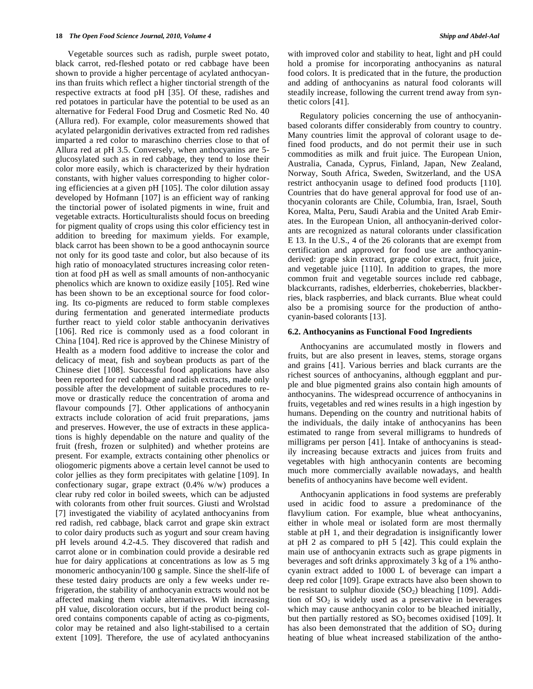Vegetable sources such as radish, purple sweet potato, black carrot, red-fleshed potato or red cabbage have been shown to provide a higher percentage of acylated anthocyanins than fruits which reflect a higher tinctorial strength of the respective extracts at food pH [35]. Of these, radishes and red potatoes in particular have the potential to be used as an alternative for Federal Food Drug and Cosmetic Red No. 40 (Allura red). For example, color measurements showed that acylated pelargonidin derivatives extracted from red radishes imparted a red color to maraschino cherries close to that of Allura red at pH 3.5. Conversely, when anthocyanins are 5 glucosylated such as in red cabbage, they tend to lose their color more easily, which is characterized by their hydration constants, with higher values corresponding to higher coloring efficiencies at a given pH [105]. The color dilution assay developed by Hofmann [107] is an efficient way of ranking the tinctorial power of isolated pigments in wine, fruit and vegetable extracts. Horticulturalists should focus on breeding for pigment quality of crops using this color efficiency test in addition to breeding for maximum yields. For example, black carrot has been shown to be a good anthocaynin source not only for its good taste and color, but also because of its high ratio of monoacylated structures increasing color retention at food pH as well as small amounts of non-anthocyanic phenolics which are known to oxidize easily [105]. Red wine has been shown to be an exceptional source for food coloring. Its co-pigments are reduced to form stable complexes during fermentation and generated intermediate products further react to yield color stable anthocyanin derivatives [106]. Red rice is commonly used as a food colorant in China [104]. Red rice is approved by the Chinese Ministry of Health as a modern food additive to increase the color and delicacy of meat, fish and soybean products as part of the Chinese diet [108]. Successful food applications have also been reported for red cabbage and radish extracts, made only possible after the development of suitable procedures to remove or drastically reduce the concentration of aroma and flavour compounds [7]. Other applications of anthocyanin extracts include coloration of acid fruit preparations, jams and preserves. However, the use of extracts in these applications is highly dependable on the nature and quality of the fruit (fresh, frozen or sulphited) and whether proteins are present. For example, extracts containing other phenolics or oliogomeric pigments above a certain level cannot be used to color jellies as they form precipitates with gelatine [109]. In confectionary sugar, grape extract (0.4% w/w) produces a clear ruby red color in boiled sweets, which can be adjusted with colorants from other fruit sources. Giusti and Wrolstad [7] investigated the viability of acylated anthocyanins from red radish, red cabbage, black carrot and grape skin extract to color dairy products such as yogurt and sour cream having pH levels around 4.2-4.5. They discovered that radish and carrot alone or in combination could provide a desirable red hue for dairy applications at concentrations as low as 5 mg monomeric anthocyanin/100 g sample. Since the shelf-life of these tested dairy products are only a few weeks under refrigeration, the stability of anthocyanin extracts would not be affected making them viable alternatives. With increasing pH value, discoloration occurs, but if the product being colored contains components capable of acting as co-pigments, color may be retained and also light-stabilised to a certain extent [109]. Therefore, the use of acylated anthocyanins

with improved color and stability to heat, light and  $pH$  could hold a promise for incorporating anthocyanins as natural food colors. It is predicated that in the future, the production and adding of anthocyanins as natural food colorants will steadily increase, following the current trend away from synthetic colors [41].

Regulatory policies concerning the use of anthocyaninbased colorants differ considerably from country to country. Many countries limit the approval of colorant usage to defined food products, and do not permit their use in such commodities as milk and fruit juice. The European Union, Australia, Canada, Cyprus, Finland, Japan, New Zealand, Norway, South Africa, Sweden, Switzerland, and the USA restrict anthocyanin usage to defined food products [110]. Countries that do have general approval for food use of anthocyanin colorants are Chile, Columbia, Iran, Israel, South Korea, Malta, Peru, Saudi Arabia and the United Arab Emirates. In the European Union, all anthocyanin-derived colorants are recognized as natural colorants under classification E 13. In the U.S., 4 of the 26 colorants that are exempt from certification and approved for food use are anthocyaninderived: grape skin extract, grape color extract, fruit juice, and vegetable juice [110]. In addition to grapes, the more common fruit and vegetable sources include red cabbage, blackcurrants, radishes, elderberries, chokeberries, blackberries, black raspberries, and black currants. Blue wheat could also be a promising source for the production of anthocyanin-based colorants [13].

#### **6.2. Anthocyanins as Functional Food Ingredients**

Anthocyanins are accumulated mostly in flowers and fruits, but are also present in leaves, stems, storage organs and grains [41]. Various berries and black currants are the richest sources of anthocyanins, although eggplant and purple and blue pigmented grains also contain high amounts of anthocyanins. The widespread occurrence of anthocyanins in fruits, vegetables and red wines results in a high ingestion by humans. Depending on the country and nutritional habits of the individuals, the daily intake of anthocyanins has been estimated to range from several milligrams to hundreds of milligrams per person [41]. Intake of anthocyanins is steadily increasing because extracts and juices from fruits and vegetables with high anthocyanin contents are becoming much more commercially available nowadays, and health benefits of anthocyanins have become well evident.

Anthocyanin applications in food systems are preferably used in acidic food to assure a predominance of the flavylium cation. For example, blue wheat anthocyanins, either in whole meal or isolated form are most thermally stable at pH 1, and their degradation is insignificantly lower at pH 2 as compared to pH 5 [42]. This could explain the main use of anthocyanin extracts such as grape pigments in beverages and soft drinks approximately 3 kg of a 1% anthocyanin extract added to 1000 L of beverage can impart a deep red color [109]. Grape extracts have also been shown to be resistant to sulphur dioxide  $(SO<sub>2</sub>)$  bleaching [109]. Addition of  $SO<sub>2</sub>$  is widely used as a preservative in beverages which may cause anthocyanin color to be bleached initially, but then partially restored as  $SO_2$  becomes oxidised [109]. It has also been demonstrated that the addition of  $SO_2$  during heating of blue wheat increased stabilization of the antho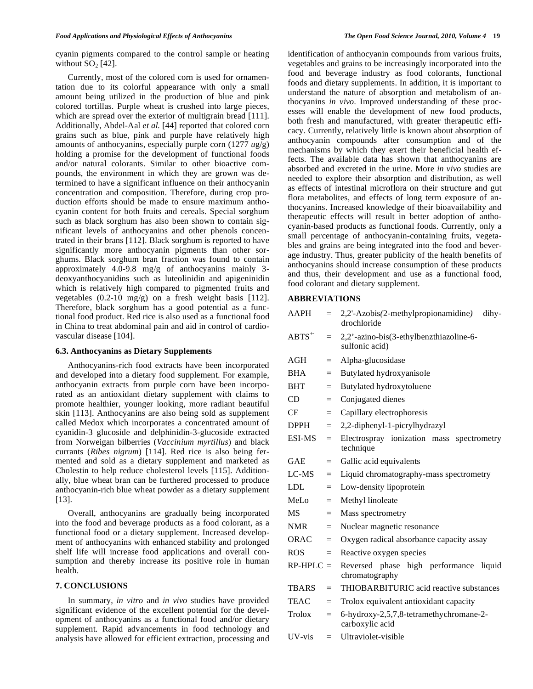cyanin pigments compared to the control sample or heating without  $SO<sub>2</sub>$  [42].

Currently, most of the colored corn is used for ornamentation due to its colorful appearance with only a small amount being utilized in the production of blue and pink colored tortillas. Purple wheat is crushed into large pieces, which are spread over the exterior of multigrain bread [111]. Additionally, Abdel-Aal *et al.* [44] reported that colored corn grains such as blue, pink and purple have relatively high amounts of anthocyanins, especially purple corn (1277 *u*g/g) holding a promise for the development of functional foods and/or natural colorants. Similar to other bioactive compounds, the environment in which they are grown was determined to have a significant influence on their anthocyanin concentration and composition. Therefore, during crop production efforts should be made to ensure maximum anthocyanin content for both fruits and cereals. Special sorghum such as black sorghum has also been shown to contain significant levels of anthocyanins and other phenols concentrated in their brans [112]. Black sorghum is reported to have significantly more anthocyanin pigments than other sorghums. Black sorghum bran fraction was found to contain approximately 4.0-9.8 mg/g of anthocyanins mainly 3 deoxyanthocyanidins such as luteolinidin and apigeninidin which is relatively high compared to pigmented fruits and vegetables (0.2-10 mg/g) on a fresh weight basis [112]. Therefore, black sorghum has a good potential as a functional food product. Red rice is also used as a functional food in China to treat abdominal pain and aid in control of cardiovascular disease [104].

### **6.3. Anthocyanins as Dietary Supplements**

Anthocyanins-rich food extracts have been incorporated and developed into a dietary food supplement. For example, anthocyanin extracts from purple corn have been incorporated as an antioxidant dietary supplement with claims to promote healthier, younger looking, more radiant beautiful skin [113]. Anthocyanins are also being sold as supplement called Medox which incorporates a concentrated amount of cyanidin-3 glucoside and delphinidin-3-glucoside extracted from Norweigan bilberries (*Vaccinium myrtillus*) and black currants (*Ribes nigrum*) [114]. Red rice is also being fermented and sold as a dietary supplement and marketed as Cholestin to help reduce cholesterol levels [115]. Additionally, blue wheat bran can be furthered processed to produce anthocyanin-rich blue wheat powder as a dietary supplement [13].

Overall, anthocyanins are gradually being incorporated into the food and beverage products as a food colorant, as a functional food or a dietary supplement. Increased development of anthocyanins with enhanced stability and prolonged shelf life will increase food applications and overall consumption and thereby increase its positive role in human health.

# **7. CONCLUSIONS**

In summary, *in vitro* and *in vivo* studies have provided significant evidence of the excellent potential for the development of anthocyanins as a functional food and/or dietary supplement. Rapid advancements in food technology and analysis have allowed for efficient extraction, processing and identification of anthocyanin compounds from various fruits, vegetables and grains to be increasingly incorporated into the food and beverage industry as food colorants, functional foods and dietary supplements. In addition, it is important to understand the nature of absorption and metabolism of anthocyanins *in vivo*. Improved understanding of these processes will enable the development of new food products, both fresh and manufactured, with greater therapeutic efficacy. Currently, relatively little is known about absorption of anthocyanin compounds after consumption and of the mechanisms by which they exert their beneficial health effects. The available data has shown that anthocyanins are absorbed and excreted in the urine. More *in vivo* studies are needed to explore their absorption and distribution, as well as effects of intestinal microflora on their structure and gut flora metabolites, and effects of long term exposure of anthocyanins. Increased knowledge of their bioavailability and therapeutic effects will result in better adoption of anthocyanin-based products as functional foods. Currently, only a small percentage of anthocyanin-containing fruits, vegetables and grains are being integrated into the food and beverage industry. Thus, greater publicity of the health benefits of anthocyanins should increase consumption of these products and thus, their development and use as a functional food, food colorant and dietary supplement.

## **ABBREVIATIONS**

| <b>AAPH</b>   | $=$ | 2,2'-Azobis(2-methylpropionamidine)<br>dihy-<br>drochloride |
|---------------|-----|-------------------------------------------------------------|
| $ABTS^+$      | $=$ | 2,2'-azino-bis(3-ethylbenzthiazoline-6-<br>sulfonic acid)   |
| AGH           | $=$ | Alpha-glucosidase                                           |
| <b>BHA</b>    | $=$ | Butylated hydroxyanisole                                    |
| <b>BHT</b>    | $=$ | Butylated hydroxytoluene                                    |
| CD            | $=$ | Conjugated dienes                                           |
| CE.           | $=$ | Capillary electrophoresis                                   |
| <b>DPPH</b>   | $=$ | 2,2-diphenyl-1-picrylhydrazyl                               |
| <b>ESI-MS</b> | $=$ | Electrospray ionization mass<br>spectrometry<br>technique   |
| <b>GAE</b>    | $=$ | Gallic acid equivalents                                     |
| $LC-MS$       | $=$ | Liquid chromatography-mass spectrometry                     |
| <b>LDL</b>    | $=$ | Low-density lipoprotein                                     |
| MeLo          | $=$ | Methyl linoleate                                            |
| <b>MS</b>     | $=$ | Mass spectrometry                                           |
| <b>NMR</b>    | $=$ | Nuclear magnetic resonance                                  |
| ORAC          | $=$ | Oxygen radical absorbance capacity assay                    |
| <b>ROS</b>    | $=$ | Reactive oxygen species                                     |
| $RP-HPLC =$   |     | Reversed phase high performance<br>liquid<br>chromatography |
| <b>TBARS</b>  | $=$ | THIOBARBITURIC acid reactive substances                     |
| <b>TEAC</b>   | $=$ | Trolox equivalent antioxidant capacity                      |
| Trolox        | $=$ | 6-hydroxy-2,5,7,8-tetramethychromane-2-<br>carboxylic acid  |
| UV-vis        | $=$ | Ultraviolet-visible                                         |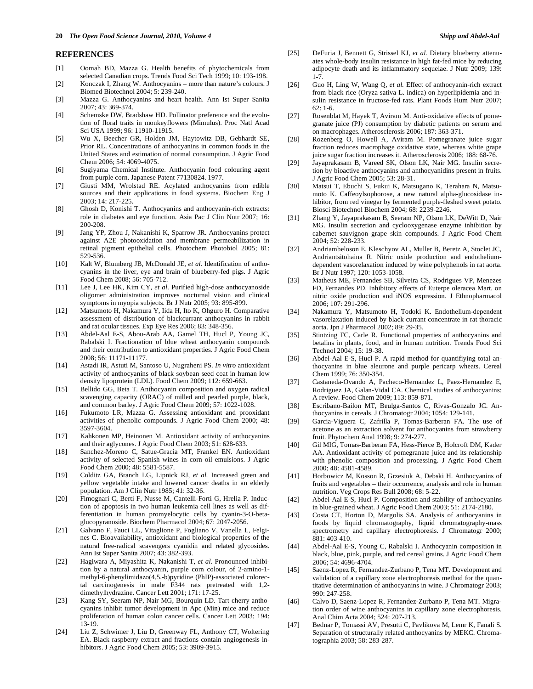#### **REFERENCES**

- [1] Oomah BD, Mazza G. Health benefits of phytochemicals from selected Canadian crops. Trends Food Sci Tech 1999; 10: 193-198.
- [2] Konczak I, Zhang W. Anthocyanins more than nature's colours. J Biomed Biotechnol 2004; 5: 239-240.
- [3] Mazza G. Anthocyanins and heart health. Ann Ist Super Sanita 2007; 43: 369-374.
- [4] Schemske DW, Bradshaw HD. Pollinator preference and the evolution of floral traits in monkeyflowers (Mimulus). Proc Natl Acad Sci USA 1999; 96: 11910-11915.
- [5] Wu X, Beecher GR, Holden JM, Haytowitz DB, Gebhardt SE, Prior RL. Concentrations of anthocyanins in common foods in the United States and estimation of normal consumption. J Agric Food Chem 2006; 54: 4069-4075.
- [6] Sugiyama Chemical Institute. Anthocyanin food colouring agent from purple corn. Japanese Patent 77130824. 1977.
- [7] Giusti MM, Wrolstad RE. Acylated anthocyanins from edible sources and their applications in food systems. Biochem Eng J 2003; 14: 217-225.
- [8] Ghosh D, Konishi T. Anthocyanins and anthocyanin-rich extracts: role in diabetes and eye function. Asia Pac J Clin Nutr 2007; 16: 200-208.
- [9] Jang YP, Zhou J, Nakanishi K, Sparrow JR. Anthocyanins protect against A2E photooxidation and membrane permeabilization in retinal pigment epithelial cells. Photochem Photobiol 2005; 81: 529-536.
- [10] Kalt W, Blumberg JB, McDonald JE, *et al.* Identification of anthocyanins in the liver, eye and brain of blueberry-fed pigs. J Agric Food Chem 2008; 56: 705-712.
- [11] Lee J, Lee HK, Kim CY, *et al.* Purified high-dose anthocyanoside oligomer administration improves nocturnal vision and clinical symptoms in myopia subjects. Br J Nutr 2005; 93: 895-899.
- [12] Matsumoto H, Nakamura Y, Iida H, Ito K, Ohguro H. Comparative assessment of distribution of blackcurrant anthocyanins in rabbit and rat ocular tissues. Exp Eye Res 2006; 83: 348-356.
- [13] Abdel-Aal E-S, Abou-Arab AA, Gamel TH, Hucl P, Young JC, Rabalski I. Fractionation of blue wheat anthocyanin compounds and their contribution to antioxidant properties. J Agric Food Chem 2008; 56: 11171-11177.
- [14] Astadi IR, Astuti M, Santoso U, Nugraheni PS. *In vitro* antioxidant activity of anthocyanins of black soybean seed coat in human low density lipoprotein (LDL). Food Chem 2009; 112: 659-663.
- [15] Bellido GG, Beta T. Anthocyanin composition and oxygen radical scavenging capacity (ORAC) of milled and pearled purple, black, and common barley. J Agric Food Chem 2009; 57: 1022-1028.
- [16] Fukumoto LR, Mazza G. Assessing antioxidant and prooxidant activities of phenolic compounds. J Agric Food Chem 2000; 48: 3597-3604.
- [17] Kahkonen MP, Heinonen M. Antioxidant activity of anthocyanins and their aglycones. J Agric Food Chem 2003; 51: 628-633.
- [18] Sanchez-Moreno C, Satue-Gracia MT, Frankel EN. Antioxidant activity of selected Spanish wines in corn oil emulsions. J Agric Food Chem 2000; 48: 5581-5587.
- [19] Colditz GA, Branch LG, Lipnick RJ, *et al.* Increased green and yellow vegetable intake and lowered cancer deaths in an elderly population. Am J Clin Nutr 1985; 41: 32-36.
- [20] Fimognari C, Berti F, Nusse M, Cantelli-Forti G, Hrelia P. Induction of apoptosis in two human leukemia cell lines as well as differentiation in human promyelocytic cells by cyanin-3-O-betaglucopyranoside. Biochem Pharmacol 2004; 67: 2047-2056.
- [21] Galvano F, Fauci LL, Vitaglione P, Fogliano V, Vanella L, Felgines C. Bioavailability, antioxidant and biological properties of the natural free-radical scavengers cyanidin and related glycosides. Ann Ist Super Sanita 2007; 43: 382-393.
- [22] Hagiwara A, Miyashita K, Nakanishi T, *et al.* Pronounced inhibition by a natural anthocyanin, purple corn colour, of 2-amino-1 methyl-6-phenylimidazo(4,5,-b)pyridine (PhIP)-associated colorectal carcinogenesis in male F344 rats pretreated with 1,2 dimethylhydrazine. Cancer Lett 2001; 171: 17-25.
- [23] Kang SY, Seeram NP, Nair MG, Bourquin LD. Tart cherry anthocyanins inhibit tumor development in Apc (Min) mice and reduce proliferation of human colon cancer cells. Cancer Lett 2003; 194: 13-19.
- [24] Liu Z, Schwimer J, Liu D, Greenway FL, Anthony CT, Woltering EA. Black raspberry extract and fractions contain angiogenesis inhibitors. J Agric Food Chem 2005; 53: 3909-3915.
- [25] DeFuria J, Bennett G, Strissel KJ, *et al.* Dietary blueberry attenuates whole-body insulin resistance in high fat-fed mice by reducing adipocyte death and its inflammatory sequelae. J Nutr 2009; 139: 1-7.
- [26] Guo H, Ling W, Wang Q, *et al.* Effect of anthocyanin-rich extract from black rice (Oryza sativa L. indica) on hyperlipidemia and insulin resistance in fructose-fed rats. Plant Foods Hum Nutr 2007;  $62 \cdot 1 - 6$
- [27] Rosenblat M, Hayek T, Aviram M. Anti-oxidative effects of pomegranate juice (PJ) consumption by diabetic patients on serum and on macrophages. Atherosclerosis 2006; 187: 363-371.
- [28] Rozenberg O, Howell A, Aviram M. Pomegranate juice sugar fraction reduces macrophage oxidative state, whereas white grape juice sugar fraction increases it. Atherosclerosis 2006; 188: 68-76.
- [29] Jayaprakasam B, Vareed SK, Olson LK, Nair MG. Insulin secretion by bioactive anthocyanins and anthocyanidins present in fruits. J Agric Food Chem 2005; 53: 28-31.
- [30] Matsui T, Ebuchi S, Fukui K, Matsugano K, Terahara N, Matsumoto K. Caffeoylsophorose, a new natural alpha-glucosidase inhibitor, from red vinegar by fermented purple-fleshed sweet potato. Biosci Biotechnol Biochem 2004; 68: 2239-2246.
- [31] Zhang Y, Jayaprakasam B, Seeram NP, Olson LK, DeWitt D, Nair MG. Insulin secretion and cyclooxygenase enzyme inhibition by cabernet sauvignon grape skin compounds. J Agric Food Chem 2004; 52: 228-233.
- [32] Andriambeloson E, Kleschyov AL, Muller B, Beretz A, Stoclet JC, Andriantsitohaina R. Nitric oxide production and endotheliumdependent vasorelaxation induced by wine polyphenols in rat aorta. Br J Nutr 1997; 120: 1053-1058.
- [33] Matheus ME, Fernandes SB, Silveira CS, Rodrigues VP, Menezes FD, Fernandes PD. Inhibitory effects of Euterpe oleracea Mart. on nitric oxide production and iNOS expression. J Ethnopharmacol 2006; 107: 291-296.
- [34] Nakamura Y, Matsumoto H, Todoki K. Endothelium-dependent vasorelaxation induced by black currant concentrate in rat thoracic aorta. Jpn J Pharmacol 2002; 89: 29-35.
- [35] Stintzing FC, Carle R. Functional properties of anthocyanins and betalins in plants, food, and in human nutrition. Trends Food Sci Technol 2004; 15: 19-38.
- [36] Abdel-Aal E-S, Hucl P. A rapid method for quantifiying total anthocyanins in blue aleurone and purple pericarp wheats. Cereal Chem 1999; 76: 350-354.
- [37] Castaneda-Ovando A, Pacheco-Hernandez L, Paez-Hernandez E, Rodriguez JA, Galan-Vidal CA. Chemical studies of anthocyanins: A review. Food Chem 2009; 113: 859-871.
- [38] Escribano-Bailon MT, Beulga-Santos C, Rivas-Gonzalo JC. Anthocyanins in cereals. J Chromatogr 2004; 1054: 129-141.
- [39] Garcia-Viguera C, Zafrilla P, Tomas-Barberan FA. The use of acetone as an extraction solvent for anthocyanins from strawberry fruit. Phytochem Anal 1998; 9: 274-277.
- [40] Gil MIG, Tomas-Barberan FA, Hess-Pierce B, Holcroft DM, Kader AA. Antioxidant activity of pomegranate juice and its relationship with phenolic composition and processing. J Agric Food Chem 2000; 48: 4581-4589.
- [41] Horbowicz M, Kosson R, Grzesiuk A, Debski H. Anthocyanins of fruits and vegetables – their occurrence, analysis and role in human nutrition. Veg Crops Res Bull 2008; 68: 5-22.
- [42] Abdel-Aal E-S, Hucl P. Composition and stability of anthocyanins in blue-grained wheat. J Agric Food Chem 2003; 51: 2174-2180.
- [43] Costa CT, Horton D, Margolis SA. Analysis of anthocyanins in foods by liquid chromatography, liquid chromatography-mass spectrometry and capillary electrophoresis. J Chromatogr 2000; 881: 403-410.
- [44] Abdel-Aal E-S, Young C, Rabalski I. Anthocyanin composition in black, blue, pink, purple, and red cereal grains. J Agric Food Chem 2006; 54: 4696-4704.
- [45] Saenz-Lopez R, Fernandez-Zurbano P, Tena MT. Development and validation of a capillary zone electrophoresis method for the quantitative determination of anthocyanins in wine. J Chromatogr 2003; 990: 247-258.
- [46] Calvo D, Saenz-Lopez R, Fernandez-Zurbano P, Tena MT. Migration order of wine anthocyanins in capillary zone electrophoresis. Anal Chim Acta 2004; 524: 207-213.
- [47] Bednar P, Tomassi AV, Presutti C, Pavlikova M, Lemr K, Fanali S. Separation of structurally related anthocyanins by MEKC. Chromatographia 2003; 58: 283-287.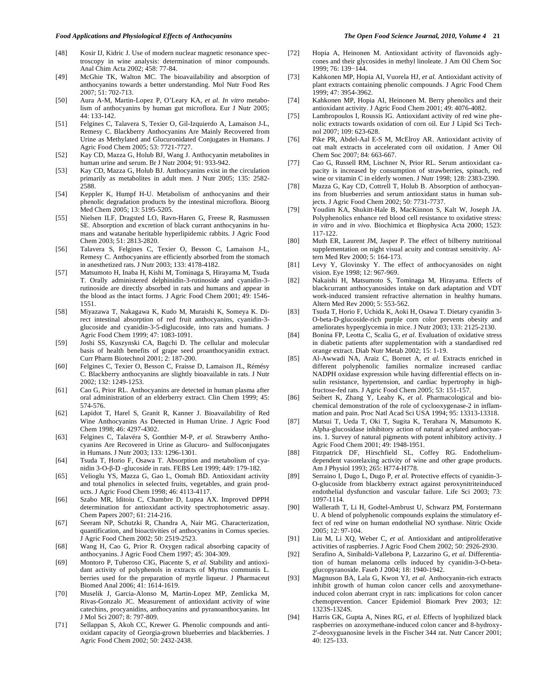- [48] Kosir IJ, Kidric J. Use of modern nuclear magnetic resonance spectroscopy in wine analysis: determination of minor compounds. Anal Chim Acta 2002; 458: 77-84.
- [49] McGhie TK, Walton MC. The bioavailability and absorption of anthocyanins towards a better understanding. Mol Nutr Food Res 2007; 51: 702-713.
- [50] Aura A-M, Martin-Lopez P, O'Leary KA, *et al. In vitro* metabolism of anthocyanins by human gut microflora. Eur J Nutr 2005; 44: 133-142.
- [51] Felgines C, Talavera S, Texier O, Gil-Izquierdo A, Lamaison J-L, Remesy C. Blackberry Anthocyanins Are Mainly Recovered from Urine as Methylated and Glucuronidated Conjugates in Humans. J Agric Food Chem 2005; 53: 7721-7727.
- [52] Kay CD, Mazza G, Holub BJ, Wang J. Anthocyanin metabolites in human urine and serum. Br J Nutr 2004; 91: 933-942.
- [53] Kay CD, Mazza G, Holub BJ. Anthocyanins exist in the circulation primarily as metabolites in adult men. J Nutr 2005; 135: 2582- 2588
- [54] Keppler K, Humpf H-U. Metabolism of anthocyanins and their phenolic degradation products by the intestinal microflora. Bioorg Med Chem 2005; 13: 5195-5205.
- [55] Nielsen ILF, Dragsted LO, Ravn-Haren G, Freese R, Rasmussen SE. Absorption and excretion of black currant anthocyanins in humans and watanabe heritable hyperlipidemic rabbits. J Agric Food Chem 2003; 51: 2813-2820.
- [56] Talavera S, Felgines C, Texier O, Besson C, Lamaison J-L, Remesy C. Anthocyanins are efficiently absorbed from the stomach in anesthetized rats. J Nutr 2003; 133: 4178-4182.
- [57] Matsumoto H, Inaba H, Kishi M, Tominaga S, Hirayama M, Tsuda T. Orally administered delphinidin-3-rutinoside and cyanidin-3 rutinoside are directly absorbed in rats and humans and appear in the blood as the intact forms. J Agric Food Chem 2001; 49: 1546- 1551.
- [58] Miyazawa T, Nakagawa K, Kudo M, Muraishi K, Someya K. Direct intestinal absorption of red fruit anthocyanins, cyanidin-3 glucoside and cyanidin-3-5-diglucoside, into rats and humans. J Agric Food Chem 1999; 47: 1083-1091.
- [59] Joshi SS, Kuszynski CA, Bagchi D. The cellular and molecular basis of health benefits of grape seed proanthocyanidin extract. Curr Pharm Biotechnol 2001; 2: 187-200.
- [60] Felgines C, Texier O, Besson C, Fraisse D, Lamaison JL, Rémésy C. Blackberry anthocyanins are slightly bioavailable in rats. J Nutr 2002; 132: 1249-1253.
- [61] Cao G, Prior RL. Anthocyanins are detected in human plasma after oral administration of an elderberry extract. Clin Chem 1999; 45: 574-576.
- [62] Lapidot T, Harel S, Granit R, Kanner J. Bioavailability of Red Wine Anthocyanins As Detected in Human Urine. J Agric Food Chem 1998; 46: 4297-4302.
- [63] Felgines C, Talavéra S, Gonthier M-P, *et al.* Strawberry Anthocyanins Are Recovered in Urine as Glucuro- and Sulfoconjugates in Humans. J Nutr 2003; 133: 1296-1301.
- [64] Tsuda T, Horio F, Osawa T. Absorption and metabolism of cyanidin 3-O-β-D -glucoside in rats. FEBS Lett 1999; 449: 179-182.
- [65] Velioglu YS, Mazza G, Gao L, Oomah BD. Antioxidant activity and total phenolics in selected fruits, vegetables, and grain products. J Agric Food Chem 1998; 46: 4113-4117.
- [66] Szabo MR, Iditoiu C, Chambre D, Lupea AX. Improved DPPH determination for antioxidant activity spectrophotometric assay. Chem Papers 2007; 61: 214-216.
- [67] Seeram NP, Schutzki R, Chandra A, Nair MG. Characterization, quantification, and bioactivities of anthocyanins in Cornus species. J Agric Food Chem 2002; 50: 2519-2523.
- [68] Wang H, Cao G, Prior R. Oxygen radical absorbing capacity of anthocyanins. J Agric Food Chem 1997; 45: 304-309.
- [69] Montoro P, Tuberoso CIG, Piacente S, *et al.* Stability and antioxidant activity of polyphenols in extracts of Myrtus communis L. berries used for the preparation of myrtle liqueur. J Pharmaceut Biomed Anal 2006; 41: 1614-1619.
- [70] Muselik J, Garcia-Alonso M, Martin-Lopez MP, Zemlicka M, Rivas-Gonzalo JC. Measurement of antioxidant activity of wine catechins, procyanidins, anthocyanins and pyranoanthocyanins. Int J Mol Sci 2007; 8: 797-809.
- [71] Sellappan S, Akoh CC, Krewer G. Phenolic compounds and antioxidant capacity of Georgia-grown blueberries and blackberries. J Agric Food Chem 2002; 50: 2432-2438.
- [72] Hopia A, Heinonen M. Antioxidant activity of flavonoids aglycones and their glycosides in methyl linoleate. J Am Oil Chem Soc 1999; 76: 139-144.
- [73] Kahkonen MP, Hopia AI, Vuorela HJ, *et al.* Antioxidant activity of plant extracts containing phenolic compounds. J Agric Food Chem 1999; 47: 3954-3962.
- [74] Kahkonen MP, Hopia AI, Heinonen M. Berry phenolics and their antioxidant activity. J Agric Food Chem 2001; 49: 4076-4082.
- [75] Lambropoulos I, Roussis IG. Antioxidant activity of red wine phenolic extracts towards oxidation of corn oil. Eur J Lipid Sci Technol 2007; 109: 623-628.
- [76] Pike PR, Abdel-Aal E-S M, McElroy AR. Antioxidant activity of oat malt extracts in accelerated corn oil oxidation. J Amer Oil Chem Soc 2007; 84: 663-667.
- [77] Cao G, Russell RM, Lischner N, Prior RL. Serum antioxidant capacity is increased by consumption of strawberries, spinach, red wine or vitamin C in elderly women. J Nutr 1998; 128: 2383-2390.
- [78] Mazza G, Kay CD, Cottrell T, Holub B. Absorption of anthocyanins from blueberries and serum antioxidant status in human subjects. J Agric Food Chem 2002; 50: 7731-7737.
- [79] Youdim KA, Shukitt-Hale B, MacKinnon S, Kalt W, Joseph JA. Polyphenolics enhance red blood cell resistance to oxidative stress: *in vitro* and *in vivo*. Biochimica et Biophysica Acta 2000; 1523: 117-122.
- [80] Muth ER, Laurent JM, Jasper P. The effect of bilberry nutritional supplementation on night visual acuity and contrast sensitivity. Altern Med Rev 2000; 5: 164-173.
- [81] Levy Y, Glovinsky Y. The effect of anthocyanosides on night vision. Eye 1998; 12: 967-969.
- [82] Nakaishi H, Matsumoto S, Tominaga M, Hirayama. Effects of blackcurrant anthocyanosides intake on dark adaptation and VDT work-induced transient refractive alternation in healthy humans. Altern Med Rev 2000; 5: 553-562.
- [83] Tsuda T, Horio F, Uchida K, Aoki H, Osawa T. Dietary cyanidin 3- O-beta-D-glucoside-rich purple corn color prevents obesity and ameliorates hyperglycemia in mice. J Nutr 2003; 133: 2125-2130.
- [84] Bonina FP, Leotta C, Scalia G, *et al.* Evaluation of oxidative stress in diabetic patients after supplementation with a standardised red orange extract. Diab Nutr Metab 2002; 15: 1-19.
- [85] Al-Awwadi NA, Araiz C, Bornet A, *et al.* Extracts enriched in different polyphenolic families normalize increased cardiac NADPH oxidase expression while having differential effects on insulin resistance, hypertension, and cardiac hypertrophy in highfructose-fed rats. J Agric Food Chem 2005; 53: 151-157.
- [86] Seibert K, Zhang Y, Leahy K, *et al.* Pharmacological and biochemical demonstration of the role of cyclooxygenase-2 in inflammation and pain. Proc Natl Acad Sci USA 1994; 95: 13313-13318.
- [87] Matsui T, Ueda T, Oki T, Sugita K, Terahara N, Matsumoto K. Alpha-glucosidase inhibitory action of natural acylated anthocyanins. 1. Survey of natural pigments with potent inhibitory activity. J Agric Food Chem 2001; 49: 1948-1951.
- [88] Fitzpatrick DF, Hirschfield SL, Coffey RG. Endotheliumdependent vasorelaxing activity of wine and other grape products. Am J Physiol 1993; 265: H774-H778.
- [89] Serraino I, Dugo L, Dugo P, *et al.* Protective effects of cyanidin-3- O-glucoside from blackberry extract against peroxynitriteinduced endothelial dysfunction and vascular failure. Life Sci 2003; 73: 1097-1114.
- [90] Wallerath T, Li H, Godtel-Ambrust U, Schwarz PM, Forstermann U. A blend of polyphenolic compounds explains the stimulatory effect of red wine on human endothelial NO synthase. Nitric Oxide 2005; 12: 97-104.
- [91] Liu M, Li XQ, Weber C, *et al.* Antioxidant and antiproliferative activities of raspberries. J Agric Food Chem 2002; 50: 2926-2930.
- [92] Serafino A, Sinibaldi-Vallebona P, Lazzarino G, *et al.* Differentiation of human melanoma cells induced by cyanidin-3-O-betaglucopyranoside. Faseb J 2004; 18: 1940-1942.
- [93] Magnuson BA, Lala G, Kwon YJ, *et al.* Anthocyanin-rich extracts inhibit growth of human colon cancer cells and azoxymethaneinduced colon aberrant crypt in rats: implications for colon cancer chemoprevention. Cancer Epidemiol Biomark Prev 2003; 12: 1323S-1324S.
- [94] Harris GK, Gupta A, Nines RG, *et al.* Effects of lyophilized black raspberries on azoxymethane-induced colon cancer and 8-hydroxy-2'-deoxyguanosine levels in the Fischer 344 rat. Nutr Cancer 2001; 40: 125-133.